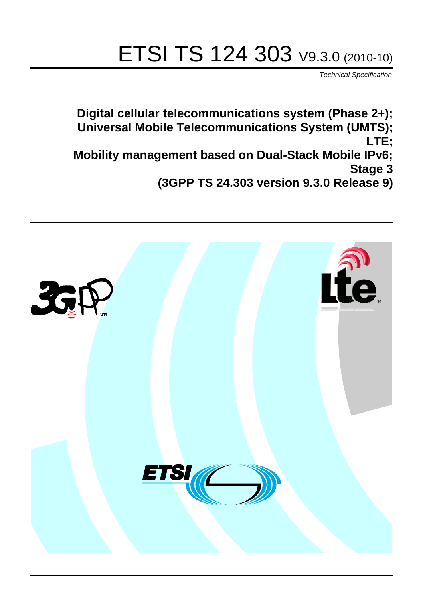# ETSI TS 124 303 V9.3.0 (2010-10)

*Technical Specification*

**Digital cellular telecommunications system (Phase 2+); Universal Mobile Telecommunications System (UMTS); LTE; Mobility management based on Dual-Stack Mobile IPv6; Stage 3 (3GPP TS 24.303 version 9.3.0 Release 9)**

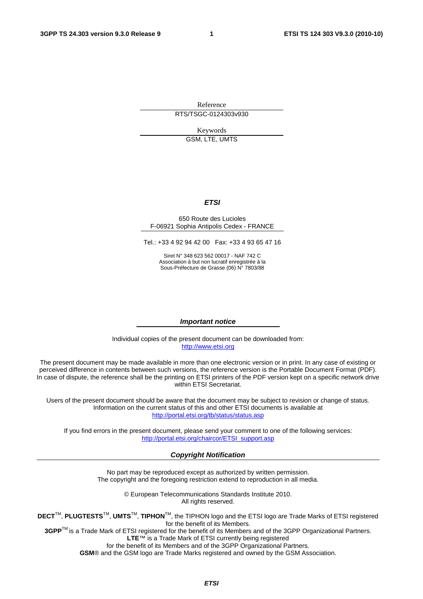Reference RTS/TSGC-0124303v930

Keywords GSM, LTE, UMTS

#### *ETSI*

#### 650 Route des Lucioles F-06921 Sophia Antipolis Cedex - FRANCE

Tel.: +33 4 92 94 42 00 Fax: +33 4 93 65 47 16

Siret N° 348 623 562 00017 - NAF 742 C Association à but non lucratif enregistrée à la Sous-Préfecture de Grasse (06) N° 7803/88

#### *Important notice*

Individual copies of the present document can be downloaded from: [http://www.etsi.org](http://www.etsi.org/)

The present document may be made available in more than one electronic version or in print. In any case of existing or perceived difference in contents between such versions, the reference version is the Portable Document Format (PDF). In case of dispute, the reference shall be the printing on ETSI printers of the PDF version kept on a specific network drive within ETSI Secretariat.

Users of the present document should be aware that the document may be subject to revision or change of status. Information on the current status of this and other ETSI documents is available at <http://portal.etsi.org/tb/status/status.asp>

If you find errors in the present document, please send your comment to one of the following services: [http://portal.etsi.org/chaircor/ETSI\\_support.asp](http://portal.etsi.org/chaircor/ETSI_support.asp)

#### *Copyright Notification*

No part may be reproduced except as authorized by written permission. The copyright and the foregoing restriction extend to reproduction in all media.

> © European Telecommunications Standards Institute 2010. All rights reserved.

**DECT**TM, **PLUGTESTS**TM, **UMTS**TM, **TIPHON**TM, the TIPHON logo and the ETSI logo are Trade Marks of ETSI registered for the benefit of its Members.

**3GPP**TM is a Trade Mark of ETSI registered for the benefit of its Members and of the 3GPP Organizational Partners. **LTE**™ is a Trade Mark of ETSI currently being registered

for the benefit of its Members and of the 3GPP Organizational Partners.

**GSM**® and the GSM logo are Trade Marks registered and owned by the GSM Association.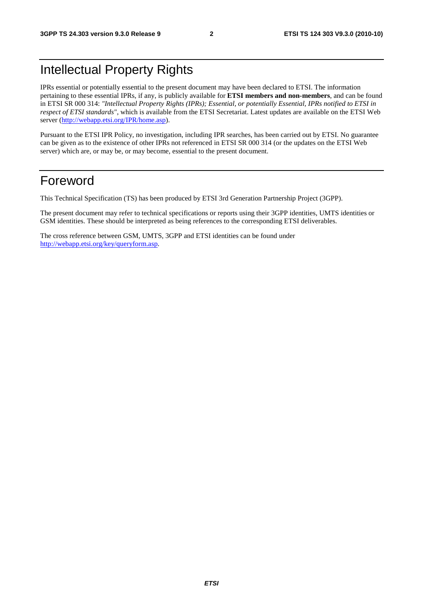# Intellectual Property Rights

IPRs essential or potentially essential to the present document may have been declared to ETSI. The information pertaining to these essential IPRs, if any, is publicly available for **ETSI members and non-members**, and can be found in ETSI SR 000 314: *"Intellectual Property Rights (IPRs); Essential, or potentially Essential, IPRs notified to ETSI in respect of ETSI standards"*, which is available from the ETSI Secretariat. Latest updates are available on the ETSI Web server [\(http://webapp.etsi.org/IPR/home.asp\)](http://webapp.etsi.org/IPR/home.asp).

Pursuant to the ETSI IPR Policy, no investigation, including IPR searches, has been carried out by ETSI. No guarantee can be given as to the existence of other IPRs not referenced in ETSI SR 000 314 (or the updates on the ETSI Web server) which are, or may be, or may become, essential to the present document.

# Foreword

This Technical Specification (TS) has been produced by ETSI 3rd Generation Partnership Project (3GPP).

The present document may refer to technical specifications or reports using their 3GPP identities, UMTS identities or GSM identities. These should be interpreted as being references to the corresponding ETSI deliverables.

The cross reference between GSM, UMTS, 3GPP and ETSI identities can be found under [http://webapp.etsi.org/key/queryform.asp.](http://webapp.etsi.org/key/queryform.asp)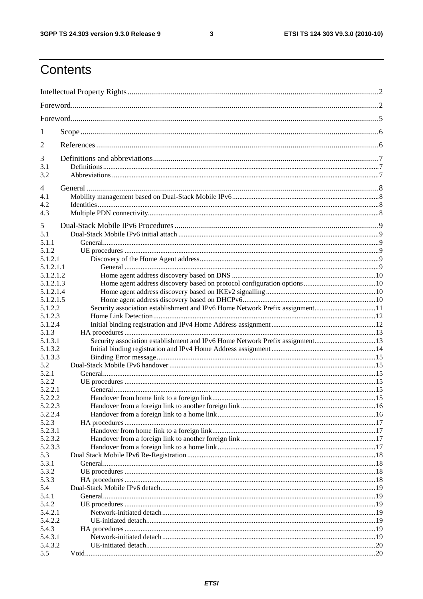$\mathbf{3}$ 

# Contents

| 1                      |                                                                              |  |
|------------------------|------------------------------------------------------------------------------|--|
| 2                      |                                                                              |  |
| 3                      |                                                                              |  |
| 3.1<br>3.2             |                                                                              |  |
| 4                      |                                                                              |  |
| 4.1                    |                                                                              |  |
| 4.2                    |                                                                              |  |
| 4.3                    |                                                                              |  |
| 5<br>5.1               |                                                                              |  |
| 5.1.1                  |                                                                              |  |
| 5.1.2                  |                                                                              |  |
| 5.1.2.1                |                                                                              |  |
| 5.1.2.1.1              |                                                                              |  |
| 5.1.2.1.2              |                                                                              |  |
| 5.1.2.1.3              |                                                                              |  |
| 5.1.2.1.4<br>5.1.2.1.5 |                                                                              |  |
| 5.1.2.2                | Security association establishment and IPv6 Home Network Prefix assignment11 |  |
| 5.1.2.3                |                                                                              |  |
| 5.1.2.4                |                                                                              |  |
| 5.1.3                  |                                                                              |  |
| 5.1.3.1                | Security association establishment and IPv6 Home Network Prefix assignment13 |  |
| 5.1.3.2                |                                                                              |  |
| 5.1.3.3                |                                                                              |  |
| 5.2                    |                                                                              |  |
| 5.2.1                  |                                                                              |  |
| 5.2.2                  |                                                                              |  |
| 5.2.2.1                |                                                                              |  |
| 5.2.2.2                |                                                                              |  |
| 5.2.2.3                |                                                                              |  |
| 5.2.2.4                |                                                                              |  |
| 5.2.3                  |                                                                              |  |
| 5.2.3.1                |                                                                              |  |
| 5.2.3.2                |                                                                              |  |
| 5.2.3.3                |                                                                              |  |
| 5.3<br>5.3.1           |                                                                              |  |
| 5.3.2                  |                                                                              |  |
| 5.3.3                  |                                                                              |  |
| 5.4                    |                                                                              |  |
| 5.4.1                  |                                                                              |  |
| 5.4.2                  |                                                                              |  |
| 5.4.2.1                |                                                                              |  |
| 5.4.2.2                |                                                                              |  |
| 5.4.3                  |                                                                              |  |
| 5.4.3.1                |                                                                              |  |
| 5.4.3.2                |                                                                              |  |
| 5.5                    |                                                                              |  |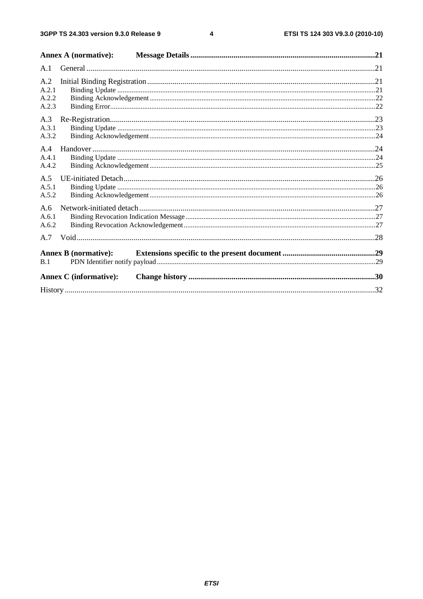$\overline{\mathbf{4}}$ 

|                                | <b>Annex A (normative):</b>   |  |
|--------------------------------|-------------------------------|--|
| A.1                            |                               |  |
| A.2<br>A.2.1<br>A.2.2<br>A.2.3 |                               |  |
| A.3<br>A.3.1<br>A.3.2          |                               |  |
| A.4<br>A.4.1<br>A.4.2          |                               |  |
| A.5<br>A.5.1<br>A.5.2          |                               |  |
| A.6<br>A.6.1<br>A.6.2          |                               |  |
| A.7                            |                               |  |
| B.1                            | <b>Annex B</b> (normative):   |  |
|                                | <b>Annex C</b> (informative): |  |
|                                |                               |  |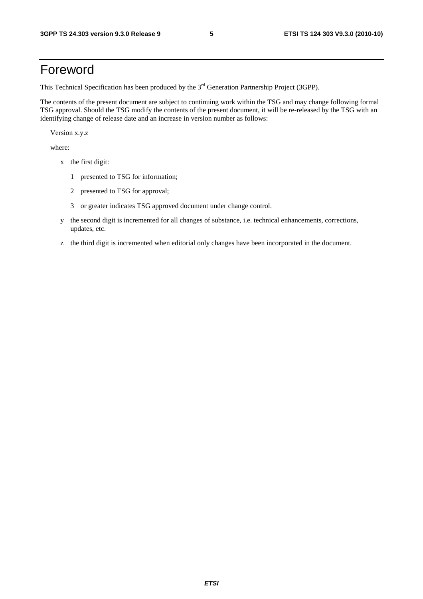# Foreword

This Technical Specification has been produced by the 3<sup>rd</sup> Generation Partnership Project (3GPP).

The contents of the present document are subject to continuing work within the TSG and may change following formal TSG approval. Should the TSG modify the contents of the present document, it will be re-released by the TSG with an identifying change of release date and an increase in version number as follows:

Version x.y.z

where:

- x the first digit:
	- 1 presented to TSG for information;
	- 2 presented to TSG for approval;
	- 3 or greater indicates TSG approved document under change control.
- y the second digit is incremented for all changes of substance, i.e. technical enhancements, corrections, updates, etc.
- z the third digit is incremented when editorial only changes have been incorporated in the document.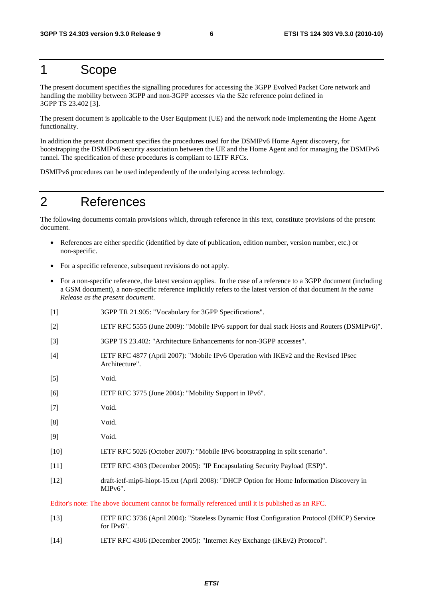# 1 Scope

The present document specifies the signalling procedures for accessing the 3GPP Evolved Packet Core network and handling the mobility between 3GPP and non-3GPP accesses via the S2c reference point defined in 3GPP TS 23.402 [3].

The present document is applicable to the User Equipment (UE) and the network node implementing the Home Agent functionality.

In addition the present document specifies the procedures used for the DSMIPv6 Home Agent discovery, for bootstrapping the DSMIPv6 security association between the UE and the Home Agent and for managing the DSMIPv6 tunnel. The specification of these procedures is compliant to IETF RFCs.

DSMIPv6 procedures can be used independently of the underlying access technology.

# 2 References

The following documents contain provisions which, through reference in this text, constitute provisions of the present document.

- References are either specific (identified by date of publication, edition number, version number, etc.) or non-specific.
- For a specific reference, subsequent revisions do not apply.
- For a non-specific reference, the latest version applies. In the case of a reference to a 3GPP document (including a GSM document), a non-specific reference implicitly refers to the latest version of that document *in the same Release as the present document*.
- [1] 3GPP TR 21.905: "Vocabulary for 3GPP Specifications".
- [2] IETF RFC 5555 (June 2009): "Mobile IPv6 support for dual stack Hosts and Routers (DSMIPv6)".
- [3] 3GPP TS 23.402: "Architecture Enhancements for non-3GPP accesses".
- [4] IETF RFC 4877 (April 2007): "Mobile IPv6 Operation with IKEv2 and the Revised IPsec Architecture".
- [5] Void.
- [6] IETF RFC 3775 (June 2004): "Mobility Support in IPv6".
- [7] Void.
- [8] Void.
- [9] Void.
- [10] IETF RFC 5026 (October 2007): "Mobile IPv6 bootstrapping in split scenario".
- [11] IETF RFC 4303 (December 2005): "IP Encapsulating Security Payload (ESP)".
- [12] draft-ietf-mip6-hiopt-15.txt (April 2008): "DHCP Option for Home Information Discovery in MIPv6".

Editor's note: The above document cannot be formally referenced until it is published as an RFC.

- [13] IETF RFC 3736 (April 2004): "Stateless Dynamic Host Configuration Protocol (DHCP) Service for IPv6".
- [14] IETF RFC 4306 (December 2005): "Internet Key Exchange (IKEv2) Protocol".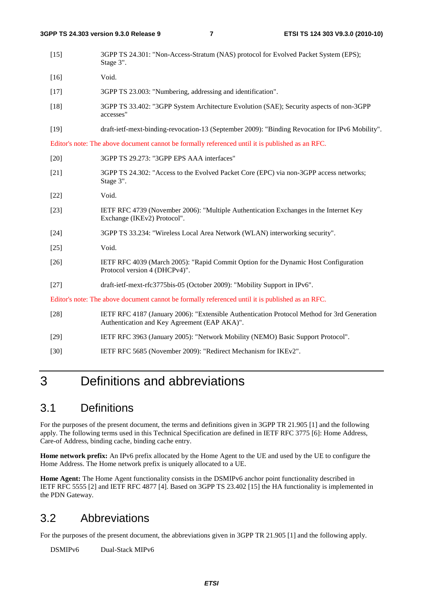| 3GPP TS 24.301: "Non-Access-Stratum (NAS) protocol for Evolved Packet System (EPS);<br>Stage 3".                                            |
|---------------------------------------------------------------------------------------------------------------------------------------------|
| Void.                                                                                                                                       |
| 3GPP TS 23.003: "Numbering, addressing and identification".                                                                                 |
| 3GPP TS 33.402: "3GPP System Architecture Evolution (SAE); Security aspects of non-3GPP<br>accesses"                                        |
| draft-ietf-mext-binding-revocation-13 (September 2009): "Binding Revocation for IPv6 Mobility".                                             |
| Editor's note: The above document cannot be formally referenced until it is published as an RFC.                                            |
| 3GPP TS 29.273: "3GPP EPS AAA interfaces"                                                                                                   |
| 3GPP TS 24.302: "Access to the Evolved Packet Core (EPC) via non-3GPP access networks;<br>Stage 3".                                         |
| Void.                                                                                                                                       |
| IETF RFC 4739 (November 2006): "Multiple Authentication Exchanges in the Internet Key<br>Exchange (IKEv2) Protocol".                        |
| 3GPP TS 33.234: "Wireless Local Area Network (WLAN) interworking security".                                                                 |
| Void.                                                                                                                                       |
| IETF RFC 4039 (March 2005): "Rapid Commit Option for the Dynamic Host Configuration<br>Protocol version 4 (DHCPv4)".                        |
| draft-ietf-mext-rfc3775bis-05 (October 2009): "Mobility Support in IPv6".                                                                   |
| Editor's note: The above document cannot be formally referenced until it is published as an RFC.                                            |
| IETF RFC 4187 (January 2006): "Extensible Authentication Protocol Method for 3rd Generation<br>Authentication and Key Agreement (EAP AKA)". |
| IETF RFC 3963 (January 2005): "Network Mobility (NEMO) Basic Support Protocol".                                                             |
|                                                                                                                                             |

#### [30] IETF RFC 5685 (November 2009): "Redirect Mechanism for IKEv2".

# 3 Definitions and abbreviations

## 3.1 Definitions

For the purposes of the present document, the terms and definitions given in 3GPP TR 21.905 [1] and the following apply. The following terms used in this Technical Specification are defined in IETF RFC 3775 [6]: Home Address, Care-of Address, binding cache, binding cache entry.

**Home network prefix:** An IPv6 prefix allocated by the Home Agent to the UE and used by the UE to configure the Home Address. The Home network prefix is uniquely allocated to a UE.

**Home Agent:** The Home Agent functionality consists in the DSMIPv6 anchor point functionality described in IETF RFC 5555 [2] and IETF RFC 4877 [4]. Based on 3GPP TS 23.402 [15] the HA functionality is implemented in the PDN Gateway.

## 3.2 Abbreviations

For the purposes of the present document, the abbreviations given in 3GPP TR 21.905 [1] and the following apply.

DSMIPv6 Dual-Stack MIPv6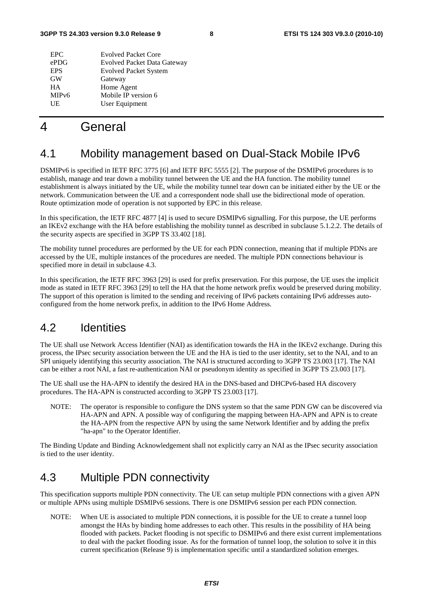| <b>EPC</b>         | <b>Evolved Packet Core</b>         |
|--------------------|------------------------------------|
| ePDG               | <b>Evolved Packet Data Gateway</b> |
| <b>EPS</b>         | <b>Evolved Packet System</b>       |
| <b>GW</b>          | Gateway                            |
| HА                 | Home Agent                         |
| MIP <sub>v</sub> 6 | Mobile IP version 6                |
| UE                 | User Equipment                     |
|                    |                                    |

# 4 General

# 4.1 Mobility management based on Dual-Stack Mobile IPv6

DSMIPv6 is specified in IETF RFC 3775 [6] and IETF RFC 5555 [2]. The purpose of the DSMIPv6 procedures is to establish, manage and tear down a mobility tunnel between the UE and the HA function. The mobility tunnel establishment is always initiated by the UE, while the mobility tunnel tear down can be initiated either by the UE or the network. Communication between the UE and a correspondent node shall use the bidirectional mode of operation. Route optimization mode of operation is not supported by EPC in this release.

In this specification, the IETF RFC 4877 [4] is used to secure DSMIPv6 signalling. For this purpose, the UE performs an IKEv2 exchange with the HA before establishing the mobility tunnel as described in subclause 5.1.2.2. The details of the security aspects are specified in 3GPP TS 33.402 [18].

The mobility tunnel procedures are performed by the UE for each PDN connection, meaning that if multiple PDNs are accessed by the UE, multiple instances of the procedures are needed. The multiple PDN connections behaviour is specified more in detail in subclause 4.3.

In this specification, the IETF RFC 3963 [29] is used for prefix preservation. For this purpose, the UE uses the implicit mode as stated in IETF RFC 3963 [29] to tell the HA that the home network prefix would be preserved during mobility. The support of this operation is limited to the sending and receiving of IPv6 packets containing IPv6 addresses autoconfigured from the home network prefix, in addition to the IPv6 Home Address.

# 4.2 Identities

The UE shall use Network Access Identifier (NAI) as identification towards the HA in the IKEv2 exchange. During this process, the IPsec security association between the UE and the HA is tied to the user identity, set to the NAI, and to an SPI uniquely identifying this security association. The NAI is structured according to 3GPP TS 23.003 [17]. The NAI can be either a root NAI, a fast re-authentication NAI or pseudonym identity as specified in 3GPP TS 23.003 [17].

The UE shall use the HA-APN to identify the desired HA in the DNS-based and DHCPv6-based HA discovery procedures. The HA-APN is constructed according to 3GPP TS 23.003 [17].

NOTE: The operator is responsible to configure the DNS system so that the same PDN GW can be discovered via HA-APN and APN. A possible way of configuring the mapping between HA-APN and APN is to create the HA-APN from the respective APN by using the same Network Identifier and by adding the prefix "ha-apn" to the Operator Identifier.

The Binding Update and Binding Acknowledgement shall not explicitly carry an NAI as the IPsec security association is tied to the user identity.

## 4.3 Multiple PDN connectivity

This specification supports multiple PDN connectivity. The UE can setup multiple PDN connections with a given APN or multiple APNs using multiple DSMIPv6 sessions. There is one DSMIPv6 session per each PDN connection.

NOTE: When UE is associated to multiple PDN connections, it is possible for the UE to create a tunnel loop amongst the HAs by binding home addresses to each other. This results in the possibility of HA being flooded with packets. Packet flooding is not specific to DSMIPv6 and there exist current implementations to deal with the packet flooding issue. As for the formation of tunnel loop, the solution to solve it in this current specification (Release 9) is implementation specific until a standardized solution emerges.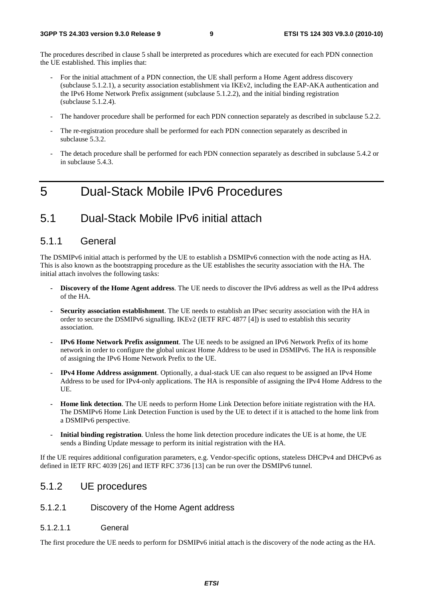The procedures described in clause 5 shall be interpreted as procedures which are executed for each PDN connection the UE established. This implies that:

- For the initial attachment of a PDN connection, the UE shall perform a Home Agent address discovery (subclause 5.1.2.1), a security association establishment via IKEv2, including the EAP-AKA authentication and the IPv6 Home Network Prefix assignment (subclause 5.1.2.2), and the initial binding registration (subclause 5.1.2.4).
- The handover procedure shall be performed for each PDN connection separately as described in subclause 5.2.2.
- The re-registration procedure shall be performed for each PDN connection separately as described in subclause 5.3.2.
- The detach procedure shall be performed for each PDN connection separately as described in subclause 5.4.2 or in subclause 5.4.3.

# 5 Dual-Stack Mobile IPv6 Procedures

### 5.1 Dual-Stack Mobile IPv6 initial attach

#### 5.1.1 General

The DSMIPv6 initial attach is performed by the UE to establish a DSMIPv6 connection with the node acting as HA. This is also known as the bootstrapping procedure as the UE establishes the security association with the HA. The initial attach involves the following tasks:

- **Discovery of the Home Agent address**. The UE needs to discover the IPv6 address as well as the IPv4 address of the HA.
- **Security association establishment**. The UE needs to establish an IPsec security association with the HA in order to secure the DSMIPv6 signalling. IKEv2 (IETF RFC 4877 [4]) is used to establish this security association.
- **IPv6 Home Network Prefix assignment**. The UE needs to be assigned an IPv6 Network Prefix of its home network in order to configure the global unicast Home Address to be used in DSMIPv6. The HA is responsible of assigning the IPv6 Home Network Prefix to the UE.
- **IPv4 Home Address assignment**. Optionally, a dual-stack UE can also request to be assigned an IPv4 Home Address to be used for IPv4-only applications. The HA is responsible of assigning the IPv4 Home Address to the UE.
- **Home link detection**. The UE needs to perform Home Link Detection before initiate registration with the HA. The DSMIPv6 Home Link Detection Function is used by the UE to detect if it is attached to the home link from a DSMIPv6 perspective.
- **Initial binding registration**. Unless the home link detection procedure indicates the UE is at home, the UE sends a Binding Update message to perform its initial registration with the HA.

If the UE requires additional configuration parameters, e.g. Vendor-specific options, stateless DHCPv4 and DHCPv6 as defined in IETF RFC 4039 [26] and IETF RFC 3736 [13] can be run over the DSMIPv6 tunnel.

#### 5.1.2 UE procedures

#### 5.1.2.1 Discovery of the Home Agent address

#### 5.1.2.1.1 General

The first procedure the UE needs to perform for DSMIPv6 initial attach is the discovery of the node acting as the HA.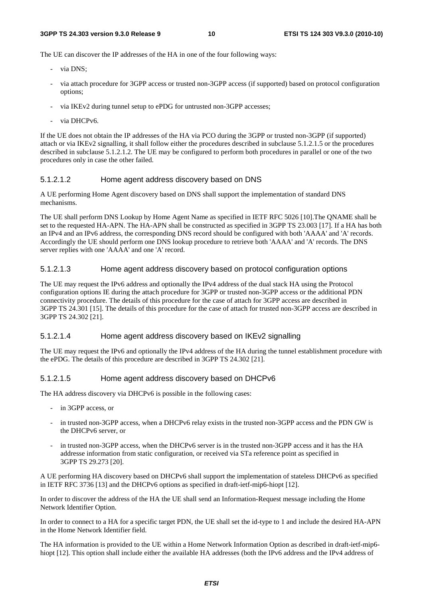The UE can discover the IP addresses of the HA in one of the four following ways:

- via DNS:
- via attach procedure for 3GPP access or trusted non-3GPP access (if supported) based on protocol configuration options;
- via IKEv2 during tunnel setup to ePDG for untrusted non-3GPP accesses;
- via DHCPv6.

If the UE does not obtain the IP addresses of the HA via PCO during the 3GPP or trusted non-3GPP (if supported) attach or via IKEv2 signalling, it shall follow either the procedures described in subclause 5.1.2.1.5 or the procedures described in subclause 5.1.2.1.2. The UE may be configured to perform both procedures in parallel or one of the two procedures only in case the other failed.

#### 5.1.2.1.2 Home agent address discovery based on DNS

A UE performing Home Agent discovery based on DNS shall support the implementation of standard DNS mechanisms.

The UE shall perform DNS Lookup by Home Agent Name as specified in IETF RFC 5026 [10].The QNAME shall be set to the requested HA-APN. The HA-APN shall be constructed as specified in 3GPP TS 23.003 [17]. If a HA has both an IPv4 and an IPv6 address, the corresponding DNS record should be configured with both 'AAAA' and 'A' records. Accordingly the UE should perform one DNS lookup procedure to retrieve both 'AAAA' and 'A' records. The DNS server replies with one 'AAAA' and one 'A' record.

#### 5.1.2.1.3 Home agent address discovery based on protocol configuration options

The UE may request the IPv6 address and optionally the IPv4 address of the dual stack HA using the Protocol configuration options IE during the attach procedure for 3GPP or trusted non-3GPP access or the additional PDN connectivity procedure. The details of this procedure for the case of attach for 3GPP access are described in 3GPP TS 24.301 [15]. The details of this procedure for the case of attach for trusted non-3GPP access are described in 3GPP TS 24.302 [21].

#### 5.1.2.1.4 Home agent address discovery based on IKEv2 signalling

The UE may request the IPv6 and optionally the IPv4 address of the HA during the tunnel establishment procedure with the ePDG. The details of this procedure are described in 3GPP TS 24.302 [21].

#### 5.1.2.1.5 Home agent address discovery based on DHCPv6

The HA address discovery via DHCPv6 is possible in the following cases:

- in 3GPP access, or
- in trusted non-3GPP access, when a DHCPv6 relay exists in the trusted non-3GPP access and the PDN GW is the DHCPv6 server, or
- in trusted non-3GPP access, when the DHCPv6 server is in the trusted non-3GPP access and it has the HA addresse information from static configuration, or received via STa reference point as specified in 3GPP TS 29.273 [20].

A UE performing HA discovery based on DHCPv6 shall support the implementation of stateless DHCPv6 as specified in IETF RFC 3736 [13] and the DHCPv6 options as specified in draft-ietf-mip6-hiopt [12].

In order to discover the address of the HA the UE shall send an Information-Request message including the Home Network Identifier Option.

In order to connect to a HA for a specific target PDN, the UE shall set the id-type to 1 and include the desired HA-APN in the Home Network Identifier field.

The HA information is provided to the UE within a Home Network Information Option as described in draft-ietf-mip6 hiopt [12]. This option shall include either the available HA addresses (both the IPv6 address and the IPv4 address of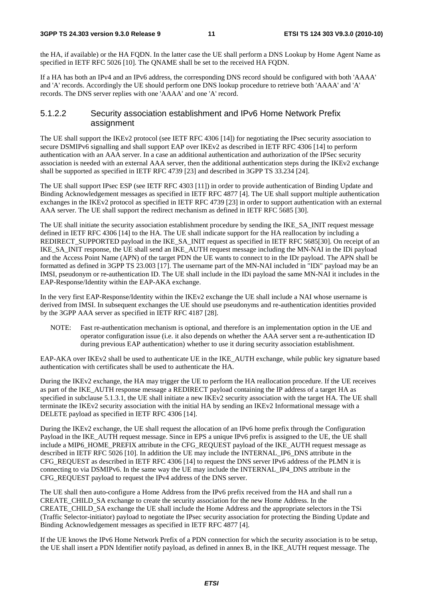the HA, if available) or the HA FQDN. In the latter case the UE shall perform a DNS Lookup by Home Agent Name as specified in IETF RFC 5026 [10]. The QNAME shall be set to the received HA FQDN.

If a HA has both an IPv4 and an IPv6 address, the corresponding DNS record should be configured with both 'AAAA' and 'A' records. Accordingly the UE should perform one DNS lookup procedure to retrieve both 'AAAA' and 'A' records. The DNS server replies with one 'AAAA' and one 'A' record.

#### 5.1.2.2 Security association establishment and IPv6 Home Network Prefix assignment

The UE shall support the IKEv2 protocol (see IETF RFC 4306 [14]) for negotiating the IPsec security association to secure DSMIPv6 signalling and shall support EAP over IKEv2 as described in IETF RFC 4306 [14] to perform authentication with an AAA server. In a case an additional authentication and authorization of the IPSec security association is needed with an external AAA server, then the additional authentication steps during the IKEv2 exchange shall be supported as specified in IETF RFC 4739 [23] and described in 3GPP TS 33.234 [24].

The UE shall support IPsec ESP (see IETF RFC 4303 [11]) in order to provide authentication of Binding Update and Binding Acknowledgement messages as specified in IETF RFC 4877 [4]. The UE shall support multiple authentication exchanges in the IKEv2 protocol as specified in IETF RFC 4739 [23] in order to support authentication with an external AAA server. The UE shall support the redirect mechanism as defined in IETF RFC 5685 [30].

The UE shall initiate the security association establishment procedure by sending the IKE\_SA\_INIT request message defined in IETF RFC 4306 [14] to the HA. The UE shall indicate support for the HA reallocation by including a REDIRECT\_SUPPORTED payload in the IKE\_SA\_INIT request as specified in IETF RFC 5685[30]. On receipt of an IKE\_SA\_INIT response, the UE shall send an IKE\_AUTH request message including the MN-NAI in the IDi payload and the Access Point Name (APN) of the target PDN the UE wants to connect to in the IDr payload. The APN shall be formatted as defined in 3GPP TS 23.003 [17]. The username part of the MN-NAI included in "IDi" payload may be an IMSI, pseudonym or re-authentication ID. The UE shall include in the IDi payload the same MN-NAI it includes in the EAP-Response/Identity within the EAP-AKA exchange.

In the very first EAP-Response/Identity within the IKEv2 exchange the UE shall include a NAI whose username is derived from IMSI. In subsequent exchanges the UE should use pseudonyms and re-authentication identities provided by the 3GPP AAA server as specified in IETF RFC 4187 [28].

NOTE: Fast re-authentication mechanism is optional, and therefore is an implementation option in the UE and operator configuration issue (i.e. it also depends on whether the AAA server sent a re-authentication ID during previous EAP authentication) whether to use it during security association establishment.

EAP-AKA over IKEv2 shall be used to authenticate UE in the IKE\_AUTH exchange, while public key signature based authentication with certificates shall be used to authenticate the HA.

During the IKEv2 exchange, the HA may trigger the UE to perform the HA reallocation procedure. If the UE receives as part of the IKE\_AUTH response message a REDIRECT payload containing the IP address of a target HA as specified in subclause 5.1.3.1, the UE shall initiate a new IKEv2 security association with the target HA. The UE shall terminate the IKEv2 security association with the initial HA by sending an IKEv2 Informational message with a DELETE payload as specified in IETF RFC 4306 [14].

During the IKEv2 exchange, the UE shall request the allocation of an IPv6 home prefix through the Configuration Payload in the IKE\_AUTH request message. Since in EPS a unique IPv6 prefix is assigned to the UE, the UE shall include a MIP6\_HOME\_PREFIX attribute in the CFG\_REQUEST payload of the IKE\_AUTH request message as described in IETF RFC 5026 [10]. In addition the UE may include the INTERNAL\_IP6\_DNS attribute in the CFG\_REQUEST as described in IETF RFC 4306 [14] to request the DNS server IPv6 address of the PLMN it is connecting to via DSMIPv6. In the same way the UE may include the INTERNAL\_IP4\_DNS attribute in the CFG\_REQUEST payload to request the IPv4 address of the DNS server.

The UE shall then auto-configure a Home Address from the IPv6 prefix received from the HA and shall run a CREATE\_CHILD\_SA exchange to create the security association for the new Home Address. In the CREATE\_CHILD\_SA exchange the UE shall include the Home Address and the appropriate selectors in the TSi (Traffic Selector-initiator) payload to negotiate the IPsec security association for protecting the Binding Update and Binding Acknowledgement messages as specified in IETF RFC 4877 [4].

If the UE knows the IPv6 Home Network Prefix of a PDN connection for which the security association is to be setup, the UE shall insert a PDN Identifier notify payload, as defined in annex B, in the IKE\_AUTH request message. The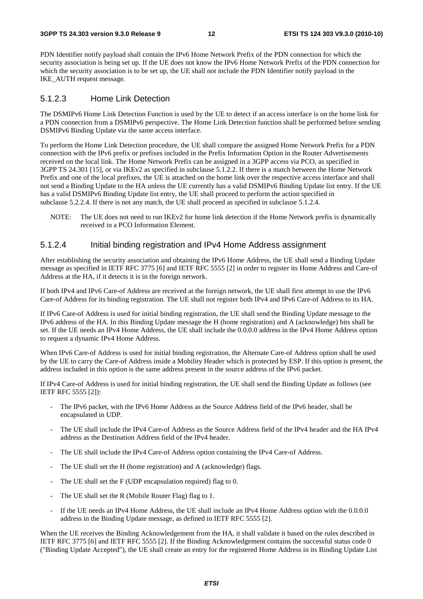PDN Identifier notify payload shall contain the IPv6 Home Network Prefix of the PDN connection for which the security association is being set up. If the UE does not know the IPv6 Home Network Prefix of the PDN connection for which the security association is to be set up, the UE shall not include the PDN Identifier notify payload in the IKE\_AUTH request message.

#### 5.1.2.3 Home Link Detection

The DSMIPv6 Home Link Detection Function is used by the UE to detect if an access interface is on the home link for a PDN connection from a DSMIPv6 perspective. The Home Link Detection function shall be performed before sending DSMIPv6 Binding Update via the same access interface.

To perform the Home Link Detection procedure, the UE shall compare the assigned Home Network Prefix for a PDN connection with the IPv6 prefix or prefixes included in the Prefix Information Option in the Router Advertisements received on the local link. The Home Network Prefix can be assigned in a 3GPP access via PCO, as specified in 3GPP TS 24.301 [15], or via IKEv2 as specified in subclause 5.1.2.2. If there is a match between the Home Network Prefix and one of the local prefixes, the UE is attached on the home link over the respective access interface and shall not send a Binding Update to the HA unless the UE currently has a valid DSMIPv6 Binding Update list entry. If the UE has a valid DSMIPv6 Binding Update list entry, the UE shall proceed to perform the action specified in subclause 5.2.2.4. If there is not any match, the UE shall proceed as specified in subclause 5.1.2.4.

NOTE: The UE does not need to run IKEv2 for home link detection if the Home Network prefix is dynamically received in a PCO Information Element.

#### 5.1.2.4 Initial binding registration and IPv4 Home Address assignment

After establishing the security association and obtaining the IPv6 Home Address, the UE shall send a Binding Update message as specified in IETF RFC 3775 [6] and IETF RFC 5555 [2] in order to register its Home Address and Care-of Address at the HA, if it detects it is in the foreign network.

If both IPv4 and IPv6 Care-of Address are received at the foreign network, the UE shall first attempt to use the IPv6 Care-of Address for its binding registration. The UE shall not register both IPv4 and IPv6 Care-of Address to its HA.

If IPv6 Care-of Address is used for initial binding registration, the UE shall send the Binding Update message to the IPv6 address of the HA. In this Binding Update message the H (home registration) and A (acknowledge) bits shall be set. If the UE needs an IPv4 Home Address, the UE shall include the 0.0.0.0 address in the IPv4 Home Address option to request a dynamic IPv4 Home Address.

When IPv6 Care-of Address is used for initial binding registration, the Alternate Care-of Address option shall be used by the UE to carry the Care-of Address inside a Mobility Header which is protected by ESP. If this option is present, the address included in this option is the same address present in the source address of the IPv6 packet.

If IPv4 Care-of Address is used for initial binding registration, the UE shall send the Binding Update as follows (see IETF RFC 5555 [2]):

- The IPv6 packet, with the IPv6 Home Address as the Source Address field of the IPv6 header, shall be encapsulated in UDP.
- The UE shall include the IPv4 Care-of Address as the Source Address field of the IPv4 header and the HA IPv4 address as the Destination Address field of the IPv4 header.
- The UE shall include the IPv4 Care-of Address option containing the IPv4 Care-of Address.
- The UE shall set the H (home registration) and A (acknowledge) flags.
- The UE shall set the F (UDP encapsulation required) flag to 0.
- The UE shall set the R (Mobile Router Flag) flag to 1.
- If the UE needs an IPv4 Home Address, the UE shall include an IPv4 Home Address option with the 0.0.0.0 address in the Binding Update message, as defined in IETF RFC 5555 [2].

When the UE receives the Binding Acknowledgement from the HA, it shall validate it based on the rules described in IETF RFC 3775 [6] and IETF RFC 5555 [2]. If the Binding Acknowledgement contains the successful status code 0 ("Binding Update Accepted"), the UE shall create an entry for the registered Home Address in its Binding Update List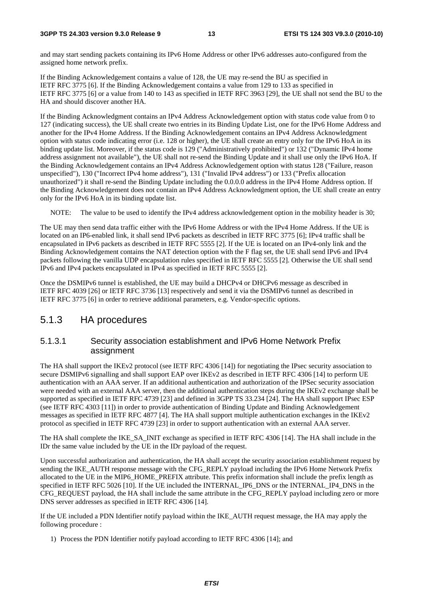and may start sending packets containing its IPv6 Home Address or other IPv6 addresses auto-configured from the assigned home network prefix.

If the Binding Acknowledgement contains a value of 128, the UE may re-send the BU as specified in IETF RFC 3775 [6]. If the Binding Acknowledgement contains a value from 129 to 133 as specified in IETF RFC 3775 [6] or a value from 140 to 143 as specified in IETF RFC 3963 [29], the UE shall not send the BU to the HA and should discover another HA.

If the Binding Acknowledgment contains an IPv4 Address Acknowledgement option with status code value from 0 to 127 (indicating success), the UE shall create two entries in its Binding Update List, one for the IPv6 Home Address and another for the IPv4 Home Address. If the Binding Acknowledgement contains an IPv4 Address Acknowledgment option with status code indicating error (i.e. 128 or higher), the UE shall create an entry only for the IPv6 HoA in its binding update list. Moreover, if the status code is 129 ("Administratively prohibited") or 132 ("Dynamic IPv4 home address assignment not available"), the UE shall not re-send the Binding Update and it shall use only the IPv6 HoA. If the Binding Acknowledgement contains an IPv4 Address Acknowledgement option with status 128 ("Failure, reason unspecified"), 130 ("Incorrect IPv4 home address"), 131 ("Invalid IPv4 address") or 133 ("Prefix allocation unauthorized") it shall re-send the Binding Update including the 0.0.0.0 address in the IPv4 Home Address option. If the Binding Acknowledgement does not contain an IPv4 Address Acknowledgment option, the UE shall create an entry only for the IPv6 HoA in its binding update list.

NOTE: The value to be used to identify the IPv4 address acknowledgement option in the mobility header is 30;

The UE may then send data traffic either with the IPv6 Home Address or with the IPv4 Home Address. If the UE is located on an IP6-enabled link, it shall send IPv6 packets as described in IETF RFC 3775 [6]; IPv4 traffic shall be encapsulated in IPv6 packets as described in IETF RFC 5555 [2]. If the UE is located on an IPv4-only link and the Binding Acknowledgement contains the NAT detection option with the F flag set, the UE shall send IPv6 and IPv4 packets following the vanilla UDP encapsulation rules specified in IETF RFC 5555 [2]. Otherwise the UE shall send IPv6 and IPv4 packets encapsulated in IPv4 as specified in IETF RFC 5555 [2].

Once the DSMIPv6 tunnel is established, the UE may build a DHCPv4 or DHCPv6 message as described in IETF RFC 4039 [26] or IETF RFC 3736 [13] respectively and send it via the DSMIPv6 tunnel as described in IETF RFC 3775 [6] in order to retrieve additional parameters, e.g. Vendor-specific options.

#### 5.1.3 HA procedures

#### 5.1.3.1 Security association establishment and IPv6 Home Network Prefix assignment

The HA shall support the IKEv2 protocol (see IETF RFC 4306 [14]) for negotiating the IPsec security association to secure DSMIPv6 signalling and shall support EAP over IKEv2 as described in IETF RFC 4306 [14] to perform UE authentication with an AAA server. If an additional authentication and authorization of the IPSec security association were needed with an external AAA server, then the additional authentication steps during the IKEv2 exchange shall be supported as specified in IETF RFC 4739 [23] and defined in 3GPP TS 33.234 [24]. The HA shall support IPsec ESP (see IETF RFC 4303 [11]) in order to provide authentication of Binding Update and Binding Acknowledgement messages as specified in IETF RFC 4877 [4]. The HA shall support multiple authentication exchanges in the IKEv2 protocol as specified in IETF RFC 4739 [23] in order to support authentication with an external AAA server.

The HA shall complete the IKE\_SA\_INIT exchange as specified in IETF RFC 4306 [14]. The HA shall include in the IDr the same value included by the UE in the IDr payload of the request.

Upon successful authorization and authentication, the HA shall accept the security association establishment request by sending the IKE\_AUTH response message with the CFG\_REPLY payload including the IPv6 Home Network Prefix allocated to the UE in the MIP6\_HOME\_PREFIX attribute. This prefix information shall include the prefix length as specified in IETF RFC 5026 [10]. If the UE included the INTERNAL IP6 DNS or the INTERNAL IP4 DNS in the CFG\_REQUEST payload, the HA shall include the same attribute in the CFG\_REPLY payload including zero or more DNS server addresses as specified in IETF RFC 4306 [14].

If the UE included a PDN Identifier notify payload within the IKE\_AUTH request message, the HA may apply the following procedure :

1) Process the PDN Identifier notify payload according to IETF RFC 4306 [14]; and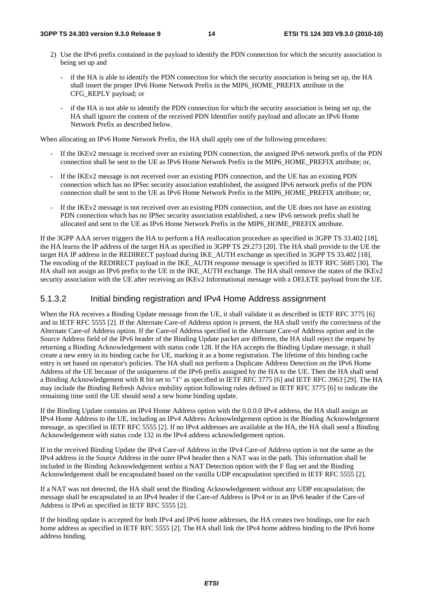- 2) Use the IPv6 prefix contained in the payload to identify the PDN connection for which the security association is being set up and
	- if the HA is able to identify the PDN connection for which the security association is being set up, the HA shall insert the proper IPv6 Home Network Prefix in the MIP6\_HOME\_PREFIX attribute in the CFG\_REPLY payload; or
	- if the HA is not able to identify the PDN connection for which the security association is being set up, the HA shall ignore the content of the received PDN Identifier notify payload and allocate an IPv6 Home Network Prefix as described below.

When allocating an IPv6 Home Network Prefix, the HA shall apply one of the following procedures:

- If the IKEv2 message is received over an existing PDN connection, the assigned IPv6 network prefix of the PDN connection shall be sent to the UE as IPv6 Home Network Prefix in the MIP6\_HOME\_PREFIX attribute; or,
- If the IKEv2 message is not received over an existing PDN connection, and the UE has an existing PDN connection which has no IPSec security association established, the assigned IPv6 network prefix of the PDN connection shall be sent to the UE as IPv6 Home Network Prefix in the MIP6\_HOME\_PREFIX attribute; or,
- If the IKEv2 message is not received over an existing PDN connection, and the UE does not have an existing PDN connection which has no IPSec security association established, a new IPv6 network prefix shall be allocated and sent to the UE as IPv6 Home Network Prefix in the MIP6\_HOME\_PREFIX attribute.

If the 3GPP AAA server triggers the HA to perform a HA reallocation procedure as specified in 3GPP TS 33.402 [18], the HA learns the IP address of the target HA as specified in 3GPP TS 29.273 [20]. The HA shall provide to the UE the target HA IP address in the REDIRECT payload during IKE\_AUTH exchange as specified in 3GPP TS 33.402 [18]. The encoding of the REDIRECT payload in the IKE\_AUTH response message is specified in IETF RFC 5685 [30]. The HA shall not assign an IPv6 prefix to the UE in the IKE\_AUTH exchange. The HA shall remove the states of the IKEv2 security association with the UE after receiving an IKEv2 Informational message with a DELETE payload from the UE.

#### 5.1.3.2 Initial binding registration and IPv4 Home Address assignment

When the HA receives a Binding Update message from the UE, it shall validate it as described in IETF RFC 3775 [6] and in IETF RFC 5555 [2]. If the Alternate Care-of Address option is present, the HA shall verify the correctness of the Alternate Care-of Address option. If the Care-of Address specified in the Alternate Care-of Address option and in the Source Address field of the IPv6 header of the Binding Update packet are different, the HA shall reject the request by returning a Binding Acknowledgement with status code 128. If the HA accepts the Binding Update message, it shall create a new entry in its binding cache for UE, marking it as a home registration. The lifetime of this binding cache entry is set based on operator's policies. The HA shall not perform a Duplicate Address Detection on the IPv6 Home Address of the UE because of the uniqueness of the IPv6 prefix assigned by the HA to the UE. Then the HA shall send a Binding Acknowledgement with R bit set to "1" as specified in IETF RFC 3775 [6] and IETF RFC 3963 [29]. The HA may include the Binding Refresh Advice mobility option following rules defined in IETF RFC 3775 [6] to indicate the remaining time until the UE should send a new home binding update.

If the Binding Update contains an IPv4 Home Address option with the 0.0.0.0 IPv4 address, the HA shall assign an IPv4 Home Address to the UE, including an IPv4 Address Acknowledgement option in the Binding Acknowledgement message, as specified in IETF RFC 5555 [2]. If no IPv4 addresses are available at the HA, the HA shall send a Binding Acknowledgement with status code 132 in the IPv4 address acknowledgement option.

If in the received Binding Update the IPv4 Care-of Address in the IPv4 Care-of Address option is not the same as the IPv4 address in the Source Address in the outer IPv4 header then a NAT was in the path. This information shall be included in the Binding Acknowledgement within a NAT Detection option with the F flag set and the Binding Acknowledgement shall be encapsulated based on the vanilla UDP encapsulation specified in IETF RFC 5555 [2].

If a NAT was not detected, the HA shall send the Binding Acknowledgement without any UDP encapsulation; the message shall be encapsulated in an IPv4 header if the Care-of Address is IPv4 or in an IPv6 header if the Care-of Address is IPv6 as specified in IETF RFC 5555 [2].

If the binding update is accepted for both IPv4 and IPv6 home addresses, the HA creates two bindings, one for each home address as specified in IETF RFC 5555 [2]. The HA shall link the IPv4 home address binding to the IPv6 home address binding.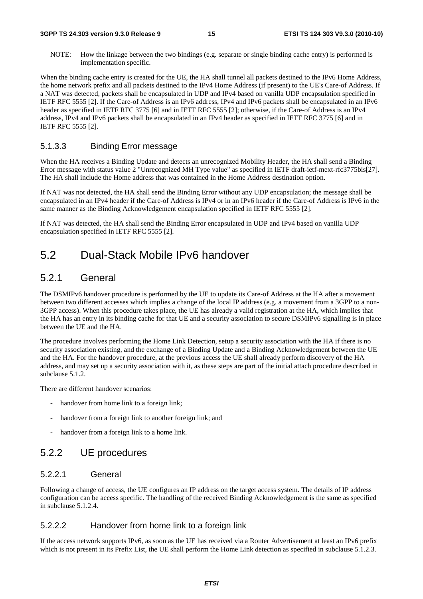NOTE: How the linkage between the two bindings (e.g. separate or single binding cache entry) is performed is implementation specific.

When the binding cache entry is created for the UE, the HA shall tunnel all packets destined to the IPv6 Home Address, the home network prefix and all packets destined to the IPv4 Home Address (if present) to the UE's Care-of Address. If a NAT was detected, packets shall be encapsulated in UDP and IPv4 based on vanilla UDP encapsulation specified in IETF RFC 5555 [2]. If the Care-of Address is an IPv6 address, IPv4 and IPv6 packets shall be encapsulated in an IPv6 header as specified in IETF RFC 3775 [6] and in IETF RFC 5555 [2]; otherwise, if the Care-of Address is an IPv4 address, IPv4 and IPv6 packets shall be encapsulated in an IPv4 header as specified in IETF RFC 3775 [6] and in IETF RFC 5555 [2].

#### 5.1.3.3 Binding Error message

When the HA receives a Binding Update and detects an unrecognized Mobility Header, the HA shall send a Binding Error message with status value 2 "Unrecognized MH Type value" as specified in IETF draft-ietf-mext-rfc3775bis[27]. The HA shall include the Home address that was contained in the Home Address destination option.

If NAT was not detected, the HA shall send the Binding Error without any UDP encapsulation; the message shall be encapsulated in an IPv4 header if the Care-of Address is IPv4 or in an IPv6 header if the Care-of Address is IPv6 in the same manner as the Binding Acknowledgement encapsulation specified in IETF RFC 5555 [2].

If NAT was detected, the HA shall send the Binding Error encapsulated in UDP and IPv4 based on vanilla UDP encapsulation specified in IETF RFC 5555 [2].

### 5.2 Dual-Stack Mobile IPv6 handover

#### 5.2.1 General

The DSMIPv6 handover procedure is performed by the UE to update its Care-of Address at the HA after a movement between two different accesses which implies a change of the local IP address (e.g. a movement from a 3GPP to a non-3GPP access). When this procedure takes place, the UE has already a valid registration at the HA, which implies that the HA has an entry in its binding cache for that UE and a security association to secure DSMIPv6 signalling is in place between the UE and the HA.

The procedure involves performing the Home Link Detection, setup a security association with the HA if there is no security association existing, and the exchange of a Binding Update and a Binding Acknowledgement between the UE and the HA. For the handover procedure, at the previous access the UE shall already perform discovery of the HA address, and may set up a security association with it, as these steps are part of the initial attach procedure described in subclause 5.1.2.

There are different handover scenarios:

- handover from home link to a foreign link;
- handover from a foreign link to another foreign link; and
- handover from a foreign link to a home link.

#### 5.2.2 UE procedures

#### 5.2.2.1 General

Following a change of access, the UE configures an IP address on the target access system. The details of IP address configuration can be access specific. The handling of the received Binding Acknowledgement is the same as specified in subclause 5.1.2.4.

#### 5.2.2.2 Handover from home link to a foreign link

If the access network supports IPv6, as soon as the UE has received via a Router Advertisement at least an IPv6 prefix which is not present in its Prefix List, the UE shall perform the Home Link detection as specified in subclause 5.1.2.3.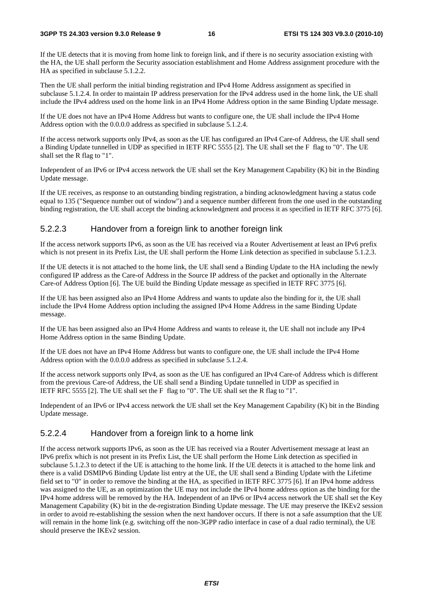If the UE detects that it is moving from home link to foreign link, and if there is no security association existing with the HA, the UE shall perform the Security association establishment and Home Address assignment procedure with the HA as specified in subclause 5.1.2.2.

Then the UE shall perform the initial binding registration and IPv4 Home Address assignment as specified in subclause 5.1.2.4. In order to maintain IP address preservation for the IPv4 address used in the home link, the UE shall include the IPv4 address used on the home link in an IPv4 Home Address option in the same Binding Update message.

If the UE does not have an IPv4 Home Address but wants to configure one, the UE shall include the IPv4 Home Address option with the 0.0.0.0 address as specified in subclause 5.1.2.4.

If the access network supports only IPv4, as soon as the UE has configured an IPv4 Care-of Address, the UE shall send a Binding Update tunnelled in UDP as specified in IETF RFC 5555 [2]. The UE shall set the F flag to "0". The UE shall set the R flag to "1".

Independent of an IPv6 or IPv4 access network the UE shall set the Key Management Capability (K) bit in the Binding Update message.

If the UE receives, as response to an outstanding binding registration, a binding acknowledgment having a status code equal to 135 ("Sequence number out of window") and a sequence number different from the one used in the outstanding binding registration, the UE shall accept the binding acknowledgment and process it as specified in IETF RFC 3775 [6].

#### 5.2.2.3 Handover from a foreign link to another foreign link

If the access network supports IPv6, as soon as the UE has received via a Router Advertisement at least an IPv6 prefix which is not present in its Prefix List, the UE shall perform the Home Link detection as specified in subclause 5.1.2.3.

If the UE detects it is not attached to the home link, the UE shall send a Binding Update to the HA including the newly configured IP address as the Care-of Address in the Source IP address of the packet and optionally in the Alternate Care-of Address Option [6]. The UE build the Binding Update message as specified in IETF RFC 3775 [6].

If the UE has been assigned also an IPv4 Home Address and wants to update also the binding for it, the UE shall include the IPv4 Home Address option including the assigned IPv4 Home Address in the same Binding Update message.

If the UE has been assigned also an IPv4 Home Address and wants to release it, the UE shall not include any IPv4 Home Address option in the same Binding Update.

If the UE does not have an IPv4 Home Address but wants to configure one, the UE shall include the IPv4 Home Address option with the 0.0.0.0 address as specified in subclause 5.1.2.4.

If the access network supports only IPv4, as soon as the UE has configured an IPv4 Care-of Address which is different from the previous Care-of Address, the UE shall send a Binding Update tunnelled in UDP as specified in IETF RFC 5555 [2]. The UE shall set the F flag to "0". The UE shall set the R flag to "1".

Independent of an IPv6 or IPv4 access network the UE shall set the Key Management Capability (K) bit in the Binding Update message.

#### 5.2.2.4 Handover from a foreign link to a home link

If the access network supports IPv6, as soon as the UE has received via a Router Advertisement message at least an IPv6 prefix which is not present in its Prefix List, the UE shall perform the Home Link detection as specified in subclause 5.1.2.3 to detect if the UE is attaching to the home link. If the UE detects it is attached to the home link and there is a valid DSMIPv6 Binding Update list entry at the UE, the UE shall send a Binding Update with the Lifetime field set to "0" in order to remove the binding at the HA, as specified in IETF RFC 3775 [6]. If an IPv4 home address was assigned to the UE, as an optimization the UE may not include the IPv4 home address option as the binding for the IPv4 home address will be removed by the HA. Independent of an IPv6 or IPv4 access network the UE shall set the Key Management Capability (K) bit in the de-registration Binding Update message. The UE may preserve the IKEv2 session in order to avoid re-establishing the session when the next handover occurs. If there is not a safe assumption that the UE will remain in the home link (e.g. switching off the non-3GPP radio interface in case of a dual radio terminal), the UE should preserve the IKEv2 session.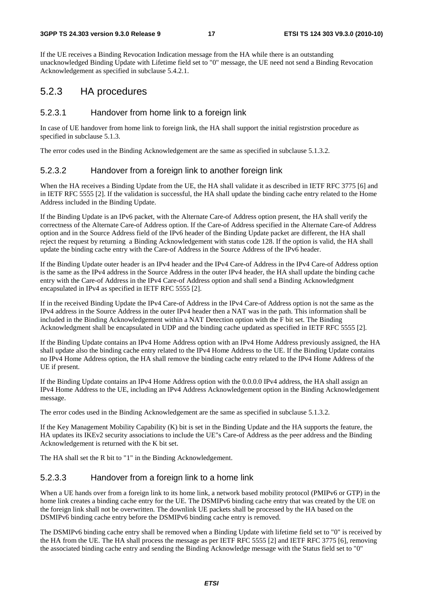#### **3GPP TS 24.303 version 9.3.0 Release 9 17 ETSI TS 124 303 V9.3.0 (2010-10)**

If the UE receives a Binding Revocation Indication message from the HA while there is an outstanding unacknowledged Binding Update with Lifetime field set to "0" message, the UE need not send a Binding Revocation Acknowledgement as specified in subclause 5.4.2.1.

#### 5.2.3 HA procedures

#### 5.2.3.1 Handover from home link to a foreign link

In case of UE handover from home link to foreign link, the HA shall support the initial registrstion procedure as specified in subclause 5.1.3.

The error codes used in the Binding Acknowledgement are the same as specified in subclause 5.1.3.2.

#### 5.2.3.2 Handover from a foreign link to another foreign link

When the HA receives a Binding Update from the UE, the HA shall validate it as described in IETF RFC 3775 [6] and in IETF RFC 5555 [2]. If the validation is successful, the HA shall update the binding cache entry related to the Home Address included in the Binding Update.

If the Binding Update is an IPv6 packet, with the Alternate Care-of Address option present, the HA shall verify the correctness of the Alternate Care-of Address option. If the Care-of Address specified in the Alternate Care-of Address option and in the Source Address field of the IPv6 header of the Binding Update packet are different, the HA shall reject the request by returning a Binding Acknowledgement with status code 128. If the option is valid, the HA shall update the binding cache entry with the Care-of Address in the Source Address of the IPv6 header.

If the Binding Update outer header is an IPv4 header and the IPv4 Care-of Address in the IPv4 Care-of Address option is the same as the IPv4 address in the Source Address in the outer IPv4 header, the HA shall update the binding cache entry with the Care-of Address in the IPv4 Care-of Address option and shall send a Binding Acknowledgment encapsulated in IPv4 as specified in IETF RFC 5555 [2].

If in the received Binding Update the IPv4 Care-of Address in the IPv4 Care-of Address option is not the same as the IPv4 address in the Source Address in the outer IPv4 header then a NAT was in the path. This information shall be included in the Binding Acknowledgement within a NAT Detection option with the F bit set. The Binding Acknowledgment shall be encapsulated in UDP and the binding cache updated as specified in IETF RFC 5555 [2].

If the Binding Update contains an IPv4 Home Address option with an IPv4 Home Address previously assigned, the HA shall update also the binding cache entry related to the IPv4 Home Address to the UE. If the Binding Update contains no IPv4 Home Address option, the HA shall remove the binding cache entry related to the IPv4 Home Address of the UE if present.

If the Binding Update contains an IPv4 Home Address option with the 0.0.0.0 IPv4 address, the HA shall assign an IPv4 Home Address to the UE, including an IPv4 Address Acknowledgement option in the Binding Acknowledgement message.

The error codes used in the Binding Acknowledgement are the same as specified in subclause 5.1.3.2.

If the Key Management Mobility Capability (K) bit is set in the Binding Update and the HA supports the feature, the HA updates its IKEv2 security associations to include the UE"s Care-of Address as the peer address and the Binding Acknowledgement is returned with the K bit set.

The HA shall set the R bit to "1" in the Binding Acknowledgement.

#### 5.2.3.3 Handover from a foreign link to a home link

When a UE hands over from a foreign link to its home link, a network based mobility protocol (PMIPv6 or GTP) in the home link creates a binding cache entry for the UE. The DSMIPv6 binding cache entry that was created by the UE on the foreign link shall not be overwritten. The downlink UE packets shall be processed by the HA based on the DSMIPv6 binding cache entry before the DSMIPv6 binding cache entry is removed.

The DSMIPv6 binding cache entry shall be removed when a Binding Update with lifetime field set to "0" is received by the HA from the UE. The HA shall process the message as per IETF RFC 5555 [2] and IETF RFC 3775 [6], removing the associated binding cache entry and sending the Binding Acknowledge message with the Status field set to "0"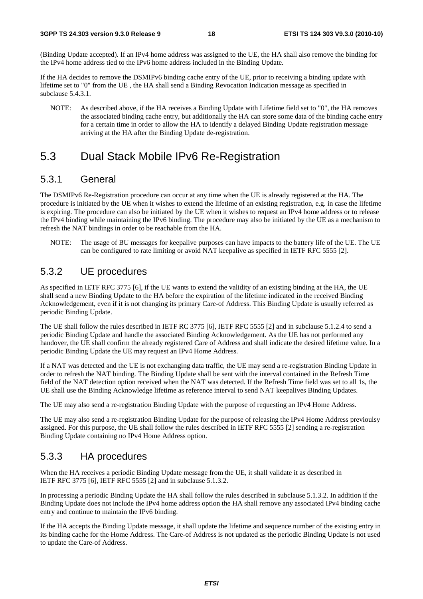(Binding Update accepted). If an IPv4 home address was assigned to the UE, the HA shall also remove the binding for the IPv4 home address tied to the IPv6 home address included in the Binding Update.

If the HA decides to remove the DSMIPv6 binding cache entry of the UE, prior to receiving a binding update with lifetime set to "0" from the UE , the HA shall send a Binding Revocation Indication message as specified in subclause 5.4.3.1.

NOTE: As described above, if the HA receives a Binding Update with Lifetime field set to "0", the HA removes the associated binding cache entry, but additionally the HA can store some data of the binding cache entry for a certain time in order to allow the HA to identify a delayed Binding Update registration message arriving at the HA after the Binding Update de-registration.

### 5.3 Dual Stack Mobile IPv6 Re-Registration

#### 5.3.1 General

The DSMIPv6 Re-Registration procedure can occur at any time when the UE is already registered at the HA. The procedure is initiated by the UE when it wishes to extend the lifetime of an existing registration, e.g. in case the lifetime is expiring. The procedure can also be initiated by the UE when it wishes to request an IPv4 home address or to release the IPv4 binding while maintaining the IPv6 binding. The procedure may also be initiated by the UE as a mechanism to refresh the NAT bindings in order to be reachable from the HA.

NOTE: The usage of BU messages for keepalive purposes can have impacts to the battery life of the UE. The UE can be configured to rate limiting or avoid NAT keepalive as specified in IETF RFC 5555 [2].

### 5.3.2 UE procedures

As specified in IETF RFC 3775 [6], if the UE wants to extend the validity of an existing binding at the HA, the UE shall send a new Binding Update to the HA before the expiration of the lifetime indicated in the received Binding Acknowledgement, even if it is not changing its primary Care-of Address. This Binding Update is usually referred as periodic Binding Update.

The UE shall follow the rules described in IETF RC 3775 [6], IETF RFC 5555 [2] and in subclause 5.1.2.4 to send a periodic Binding Update and handle the associated Binding Acknowledgement. As the UE has not performed any handover, the UE shall confirm the already registered Care of Address and shall indicate the desired lifetime value. In a periodic Binding Update the UE may request an IPv4 Home Address.

If a NAT was detected and the UE is not exchanging data traffic, the UE may send a re-registration Binding Update in order to refresh the NAT binding. The Binding Update shall be sent with the interval contained in the Refresh Time field of the NAT detection option received when the NAT was detected. If the Refresh Time field was set to all 1s, the UE shall use the Binding Acknowledge lifetime as reference interval to send NAT keepalives Binding Updates.

The UE may also send a re-registration Binding Update with the purpose of requesting an IPv4 Home Address.

The UE may also send a re-registration Binding Update for the purpose of releasing the IPv4 Home Address previoulsy assigned. For this purpose, the UE shall follow the rules described in IETF RFC 5555 [2] sending a re-registration Binding Update containing no IPv4 Home Address option.

#### 5.3.3 HA procedures

When the HA receives a periodic Binding Update message from the UE, it shall validate it as described in IETF RFC 3775 [6], IETF RFC 5555 [2] and in subclause 5.1.3.2.

In processing a periodic Binding Update the HA shall follow the rules described in subclause 5.1.3.2. In addition if the Binding Update does not include the IPv4 home address option the HA shall remove any associated IPv4 binding cache entry and continue to maintain the IPv6 binding.

If the HA accepts the Binding Update message, it shall update the lifetime and sequence number of the existing entry in its binding cache for the Home Address. The Care-of Address is not updated as the periodic Binding Update is not used to update the Care-of Address.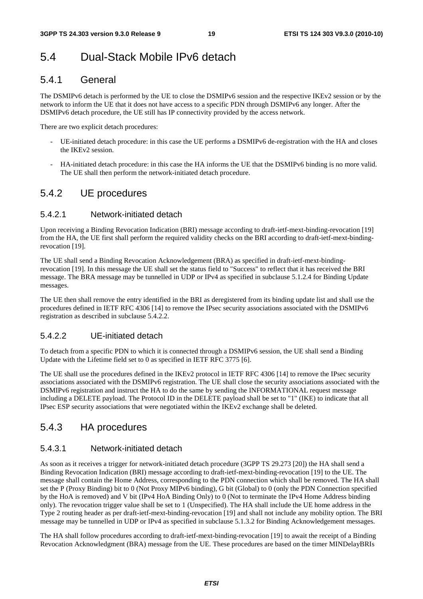# 5.4 Dual-Stack Mobile IPv6 detach

### 5.4.1 General

The DSMIPv6 detach is performed by the UE to close the DSMIPv6 session and the respective IKEv2 session or by the network to inform the UE that it does not have access to a specific PDN through DSMIPv6 any longer. After the DSMIPv6 detach procedure, the UE still has IP connectivity provided by the access network.

There are two explicit detach procedures:

- UE-initiated detach procedure: in this case the UE performs a DSMIPv6 de-registration with the HA and closes the IKEv2 session.
- HA-initiated detach procedure: in this case the HA informs the UE that the DSMIPv6 binding is no more valid. The UE shall then perform the network-initiated detach procedure.

### 5.4.2 UE procedures

#### 5.4.2.1 Network-initiated detach

Upon receiving a Binding Revocation Indication (BRI) message according to draft-ietf-mext-binding-revocation [19] from the HA, the UE first shall perform the required validity checks on the BRI according to draft-ietf-mext-bindingrevocation [19].

The UE shall send a Binding Revocation Acknowledgement (BRA) as specified in draft-ietf-mext-bindingrevocation [19]. In this message the UE shall set the status field to "Success" to reflect that it has received the BRI message. The BRA message may be tunnelled in UDP or IPv4 as specified in subclause 5.1.2.4 for Binding Update messages.

The UE then shall remove the entry identified in the BRI as deregistered from its binding update list and shall use the procedures defined in IETF RFC 4306 [14] to remove the IPsec security associations associated with the DSMIPv6 registration as described in subclause 5.4.2.2.

#### 5.4.2.2 UE-initiated detach

To detach from a specific PDN to which it is connected through a DSMIPv6 session, the UE shall send a Binding Update with the Lifetime field set to 0 as specified in IETF RFC 3775 [6].

The UE shall use the procedures defined in the IKEv2 protocol in IETF RFC 4306 [14] to remove the IPsec security associations associated with the DSMIPv6 registration. The UE shall close the security associations associated with the DSMIPv6 registration and instruct the HA to do the same by sending the INFORMATIONAL request message including a DELETE payload. The Protocol ID in the DELETE payload shall be set to "1" (IKE) to indicate that all IPsec ESP security associations that were negotiated within the IKEv2 exchange shall be deleted.

### 5.4.3 HA procedures

#### 5.4.3.1 Network-initiated detach

As soon as it receives a trigger for network-initiated detach procedure (3GPP TS 29.273 [20]) the HA shall send a Binding Revocation Indication (BRI) message according to draft-ietf-mext-binding-revocation [19] to the UE. The message shall contain the Home Address, corresponding to the PDN connection which shall be removed. The HA shall set the P (Proxy Binding) bit to 0 (Not Proxy MIPv6 binding), G bit (Global) to 0 (only the PDN Connection specified by the HoA is removed) and V bit (IPv4 HoA Binding Only) to 0 (Not to terminate the IPv4 Home Address binding only). The revocation trigger value shall be set to 1 (Unspecified). The HA shall include the UE home address in the Type 2 routing header as per draft-ietf-mext-binding-revocation [19] and shall not include any mobility option. The BRI message may be tunnelled in UDP or IPv4 as specified in subclause 5.1.3.2 for Binding Acknowledgement messages.

The HA shall follow procedures according to draft-ietf-mext-binding-revocation [19] to await the receipt of a Binding Revocation Acknowledgment (BRA) message from the UE. These procedures are based on the timer MINDelayBRIs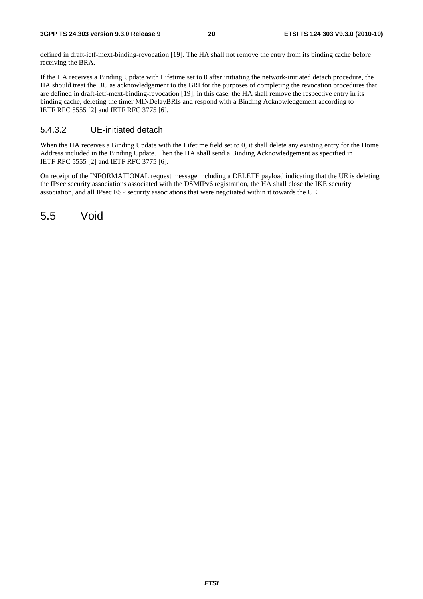defined in draft-ietf-mext-binding-revocation [19]. The HA shall not remove the entry from its binding cache before receiving the BRA.

If the HA receives a Binding Update with Lifetime set to 0 after initiating the network-initiated detach procedure, the HA should treat the BU as acknowledgement to the BRI for the purposes of completing the revocation procedures that are defined in draft-ietf-mext-binding-revocation [19]; in this case, the HA shall remove the respective entry in its binding cache, deleting the timer MINDelayBRIs and respond with a Binding Acknowledgement according to IETF RFC 5555 [2] and IETF RFC 3775 [6].

#### 5.4.3.2 UE-initiated detach

When the HA receives a Binding Update with the Lifetime field set to 0, it shall delete any existing entry for the Home Address included in the Binding Update. Then the HA shall send a Binding Acknowledgement as specified in IETF RFC 5555 [2] and IETF RFC 3775 [6].

On receipt of the INFORMATIONAL request message including a DELETE payload indicating that the UE is deleting the IPsec security associations associated with the DSMIPv6 registration, the HA shall close the IKE security association, and all IPsec ESP security associations that were negotiated within it towards the UE.

5.5 Void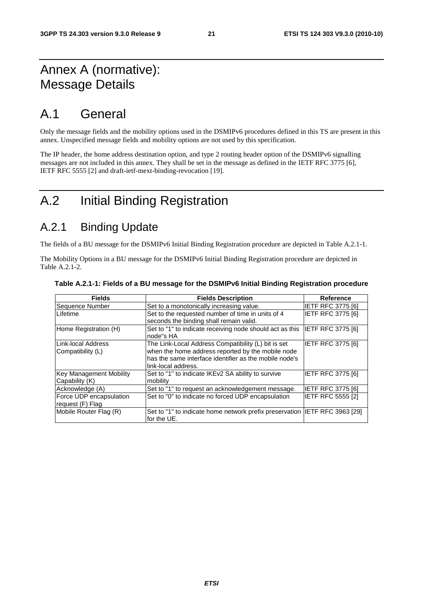# Annex A (normative): Message Details

# A.1 General

Only the message fields and the mobility options used in the DSMIPv6 procedures defined in this TS are present in this annex. Unspecified message fields and mobility options are not used by this specification.

The IP header, the home address destination option, and type 2 routing header option of the DSMIPv6 signalling messages are not included in this annex. They shall be set in the message as defined in the IETF RFC 3775 [6], IETF RFC 5555 [2] and draft-ietf-mext-binding-revocation [19].

# A.2 Initial Binding Registration

# A.2.1 Binding Update

The fields of a BU message for the DSMIPv6 Initial Binding Registration procedure are depicted in Table A.2.1-1.

The Mobility Options in a BU message for the DSMIPv6 Initial Binding Registration procedure are depicted in Table A.2.1-2.

| <b>Fields</b>                               | <b>Fields Description</b>                                                                                                                                                                 | <b>Reference</b>         |
|---------------------------------------------|-------------------------------------------------------------------------------------------------------------------------------------------------------------------------------------------|--------------------------|
| Sequence Number                             | Set to a monotonically increasing value.                                                                                                                                                  | <b>IETF RFC 3775 [6]</b> |
| Lifetime                                    | Set to the requested number of time in units of 4<br>seconds the binding shall remain valid.                                                                                              | <b>IETF RFC 3775 [6]</b> |
| Home Registration (H)                       | Set to "1" to indicate receiving node should act as this<br>node"s HA                                                                                                                     | IETF RFC 3775 [6]        |
| Link-local Address<br>Compatibility (L)     | The Link-Local Address Compatibility (L) bit is set<br>when the home address reported by the mobile node<br>has the same interface identifier as the mobile node's<br>link-local address. | IETF RFC 3775 [6]        |
| Key Management Mobility<br>Capability (K)   | Set to "1" to indicate IKEv2 SA ability to survive<br>mobility                                                                                                                            | <b>IETF RFC 3775 [6]</b> |
| Acknowledge (A)                             | Set to "1" to request an acknowledgement message.                                                                                                                                         | <b>IETF RFC 3775 [6]</b> |
| Force UDP encapsulation<br>request (F) Flag | Set to "0" to indicate no forced UDP encapsulation                                                                                                                                        | <b>IETF RFC 5555 [2]</b> |
| Mobile Router Flag (R)                      | Set to "1" to indicate home network prefix preservation IETF RFC 3963 [29]<br>for the UE.                                                                                                 |                          |

#### **Table A.2.1-1: Fields of a BU message for the DSMIPv6 Initial Binding Registration procedure**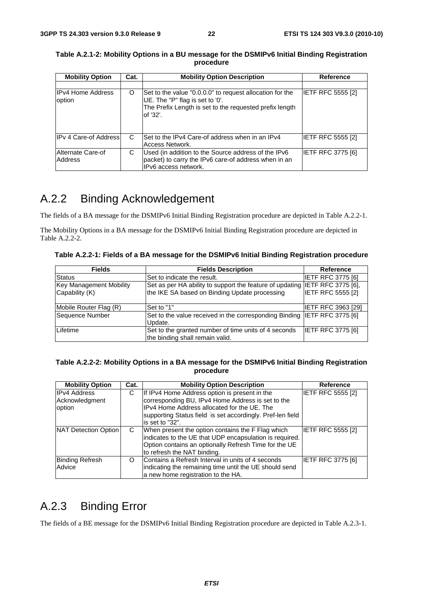| <b>Mobility Option</b>             | Cat. | <b>Mobility Option Description</b>                                                                                                                                 | <b>Reference</b>         |
|------------------------------------|------|--------------------------------------------------------------------------------------------------------------------------------------------------------------------|--------------------------|
| <b>IPv4 Home Address</b><br>option | O    | Set to the value "0.0.0.0" to request allocation for the<br>UE. The "P" flag is set to '0'.<br>The Prefix Length is set to the requested prefix length<br>of '32'. | <b>IETF RFC 5555 [2]</b> |
| IPv 4 Care-of Address              | C    | Set to the IPv4 Care-of address when in an IPv4<br>Access Network.                                                                                                 | IETF RFC 5555 [2]        |
| Alternate Care-of<br>Address       | С    | Used (in addition to the Source address of the IPv6<br>packet) to carry the IPv6 care-of address when in an<br>IPv6 access network.                                | <b>IETF RFC 3775 [6]</b> |

#### **Table A.2.1-2: Mobility Options in a BU message for the DSMIPv6 Initial Binding Registration procedure**

# A.2.2 Binding Acknowledgement

The fields of a BA message for the DSMIPv6 Initial Binding Registration procedure are depicted in Table A.2.2-1.

The Mobility Options in a BA message for the DSMIPv6 Initial Binding Registration procedure are depicted in Table A.2.2-2.

**Table A.2.2-1: Fields of a BA message for the DSMIPv6 Initial Binding Registration procedure** 

| <b>Fields</b>                                    | <b>Fields Description</b>                                                                                                    | Reference                 |
|--------------------------------------------------|------------------------------------------------------------------------------------------------------------------------------|---------------------------|
| <b>Status</b>                                    | Set to indicate the result.                                                                                                  | <b>IETF RFC 3775 [6]</b>  |
| <b>Key Management Mobility</b><br>Capability (K) | Set as per HA ability to support the feature of updating IETF RFC 3775 [6],<br>the IKE SA based on Binding Update processing | <b>IETF RFC 5555 [2]</b>  |
| Mobile Router Flag (R)                           | Set to "1"                                                                                                                   | <b>IETF RFC 3963 [29]</b> |
| Sequence Number                                  | Set to the value received in the corresponding Binding IETF RFC 3775 [6]<br>Update.                                          |                           |
| Lifetime                                         | Set to the granted number of time units of 4 seconds<br>the binding shall remain valid.                                      | <b>IETF RFC 3775 [6]</b>  |

#### **Table A.2.2-2: Mobility Options in a BA message for the DSMIPv6 Initial Binding Registration procedure**

| <b>Mobility Option</b>                          | Cat. | <b>Mobility Option Description</b>                                                                                                                                                                                                 | Reference                |
|-------------------------------------------------|------|------------------------------------------------------------------------------------------------------------------------------------------------------------------------------------------------------------------------------------|--------------------------|
| <b>IPv4 Address</b><br>Acknowledgment<br>option | С    | If IPv4 Home Address option is present in the<br>corresponding BU, IPv4 Home Address is set to the<br>IPv4 Home Address allocated for the UE. The<br>supporting Status field is set accordingly. Pref-len field<br>is set to "32". | IETF RFC 5555 [2]        |
| NAT Detection Option                            | C    | When present the option contains the F Flag which<br>indicates to the UE that UDP encapsulation is required.<br>Option contains an optionally Refresh Time for the UE<br>to refresh the NAT binding.                               | <b>IETF RFC 5555 [2]</b> |
| <b>Binding Refresh</b><br>Advice                | O    | Contains a Refresh Interval in units of 4 seconds<br>indicating the remaining time until the UE should send<br>a new home registration to the HA.                                                                                  | IETF RFC 3775 [6]        |

# A.2.3 Binding Error

The fields of a BE message for the DSMIPv6 Initial Binding Registration procedure are depicted in Table A.2.3-1.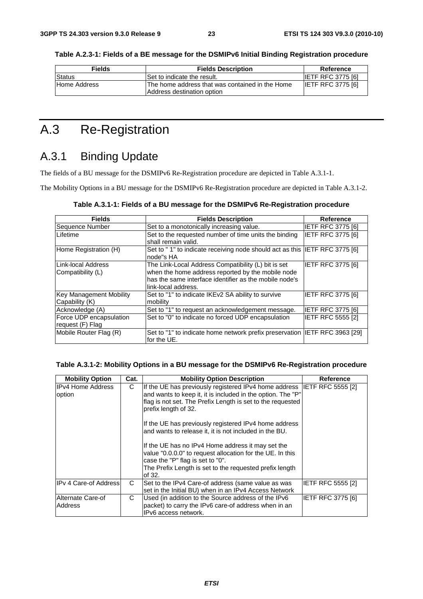**Table A.2.3-1: Fields of a BE message for the DSMIPv6 Initial Binding Registration procedure** 

| <b>Fields</b> | <b>Fields Description</b>                                                      | Reference                |
|---------------|--------------------------------------------------------------------------------|--------------------------|
| Status        | Set to indicate the result.                                                    | <b>IETF RFC 3775 [6]</b> |
| Home Address  | IThe home address that was contained in the Home<br>Address destination option | <b>IETF RFC 3775 [6]</b> |

# A.3 Re-Registration

# A.3.1 Binding Update

The fields of a BU message for the DSMIPv6 Re-Registration procedure are depicted in Table A.3.1-1.

The Mobility Options in a BU message for the DSMIPv6 Re-Registration procedure are depicted in Table A.3.1-2.

| Table A.3.1-1: Fields of a BU message for the DSMIPv6 Re-Registration procedure |  |  |
|---------------------------------------------------------------------------------|--|--|
|---------------------------------------------------------------------------------|--|--|

| <b>Fields</b>                                    | <b>Fields Description</b>                                                                                                                                                                 | Reference                |
|--------------------------------------------------|-------------------------------------------------------------------------------------------------------------------------------------------------------------------------------------------|--------------------------|
| Sequence Number                                  | Set to a monotonically increasing value.                                                                                                                                                  | <b>IETF RFC 3775 [6]</b> |
| Lifetime                                         | Set to the requested number of time units the binding<br>shall remain valid.                                                                                                              | <b>IETF RFC 3775 [6]</b> |
| Home Registration (H)                            | Set to "1" to indicate receiving node should act as this IETF RFC 3775 [6]<br>node"s HA                                                                                                   |                          |
| Link-local Address<br> Compatibility (L)         | The Link-Local Address Compatibility (L) bit is set<br>when the home address reported by the mobile node<br>has the same interface identifier as the mobile node's<br>link-local address. | <b>IETF RFC 3775 [6]</b> |
| <b>Key Management Mobility</b><br>Capability (K) | Set to "1" to indicate IKEv2 SA ability to survive<br>mobility                                                                                                                            | <b>IETF RFC 3775 [6]</b> |
| Acknowledge (A)                                  | Set to "1" to request an acknowledgement message.                                                                                                                                         | <b>IETF RFC 3775 [6]</b> |
| Force UDP encapsulation<br>request (F) Flag      | Set to "0" to indicate no forced UDP encapsulation                                                                                                                                        | <b>IETF RFC 5555 [2]</b> |
| Mobile Router Flag (R)                           | Set to "1" to indicate home network prefix preservation  IETF RFC 3963 [29]<br>for the UE.                                                                                                |                          |

#### **Table A.3.1-2: Mobility Options in a BU message for the DSMIPv6 Re-Registration procedure**

| <b>Mobility Option</b>       | Cat. | <b>Mobility Option Description</b>                                                                                                                                                                                                                                                                                                                                                                   | <b>Reference</b>         |
|------------------------------|------|------------------------------------------------------------------------------------------------------------------------------------------------------------------------------------------------------------------------------------------------------------------------------------------------------------------------------------------------------------------------------------------------------|--------------------------|
| IIPv4 Home Address<br>option | C    | If the UE has previously registered IPv4 home address IETF RFC 5555 [2]<br>and wants to keep it, it is included in the option. The "P"<br>flag is not set. The Prefix Length is set to the requested<br>prefix length of 32.<br>If the UE has previously registered IPv4 home address<br>and wants to release it, it is not included in the BU.<br>If the UE has no IPv4 Home address it may set the |                          |
|                              |      | value "0.0.0.0" to request allocation for the UE. In this<br>case the "P" flag is set to "0".<br>The Prefix Length is set to the requested prefix length<br>of 32.                                                                                                                                                                                                                                   |                          |
| <b>IPv 4 Care-of Address</b> | C    | Set to the IPv4 Care-of address (same value as was<br>set in the Initial BU) when in an IPv4 Access Network                                                                                                                                                                                                                                                                                          | <b>IETF RFC 5555 [2]</b> |
| Alternate Care-of<br>Address | C    | Used (in addition to the Source address of the IPv6<br>packet) to carry the IPv6 care-of address when in an<br>IPv6 access network.                                                                                                                                                                                                                                                                  | <b>IETF RFC 3775 [6]</b> |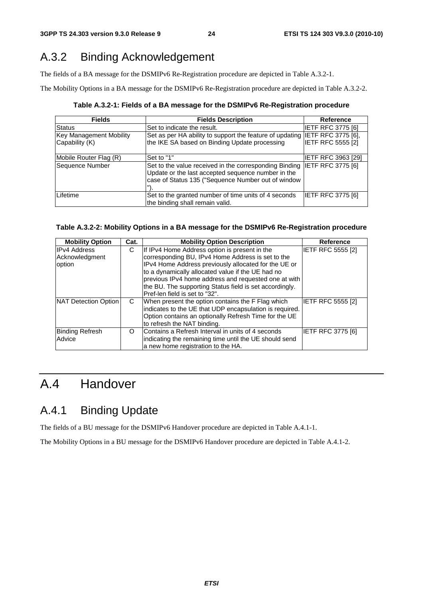# A.3.2 Binding Acknowledgement

The fields of a BA message for the DSMIPv6 Re-Registration procedure are depicted in Table A.3.2-1.

The Mobility Options in a BA message for the DSMIPv6 Re-Registration procedure are depicted in Table A.3.2-2.

**Table A.3.2-1: Fields of a BA message for the DSMIPv6 Re-Registration procedure** 

| <b>Fields</b>                                    | <b>Fields Description</b>                                                                                                                                                            | <b>Reference</b>          |
|--------------------------------------------------|--------------------------------------------------------------------------------------------------------------------------------------------------------------------------------------|---------------------------|
| <b>Status</b>                                    | Set to indicate the result.                                                                                                                                                          | <b>IETF RFC 3775 [6]</b>  |
| <b>Key Management Mobility</b><br>Capability (K) | Set as per HA ability to support the feature of updating IETF RFC 3775 [6],<br>the IKE SA based on Binding Update processing                                                         | <b>IETF RFC 5555 [2]</b>  |
| Mobile Router Flag (R)                           | Set to "1"                                                                                                                                                                           | <b>IETF RFC 3963 [29]</b> |
| Sequence Number                                  | Set to the value received in the corresponding Binding IETF RFC 3775 [6]<br>Update or the last accepted sequence number in the<br>case of Status 135 ("Sequence Number out of window |                           |
| Lifetime                                         | Set to the granted number of time units of 4 seconds<br>the binding shall remain valid.                                                                                              | <b>IETF RFC 3775 [6]</b>  |

#### **Table A.3.2-2: Mobility Options in a BA message for the DSMIPv6 Re-Registration procedure**

| <b>Mobility Option</b> | Cat. | <b>Mobility Option Description</b>                      | <b>Reference</b>         |
|------------------------|------|---------------------------------------------------------|--------------------------|
| <b>IPv4 Address</b>    | С    | If IPv4 Home Address option is present in the           | IETF RFC 5555 [2]        |
| Acknowledgment         |      | corresponding BU, IPv4 Home Address is set to the       |                          |
| option                 |      | IPv4 Home Address previously allocated for the UE or    |                          |
|                        |      | to a dynamically allocated value if the UE had no       |                          |
|                        |      | previous IPv4 home address and requested one at with    |                          |
|                        |      | the BU. The supporting Status field is set accordingly. |                          |
|                        |      | Pref-len field is set to "32".                          |                          |
| NAT Detection Option   | C    | When present the option contains the F Flag which       | <b>IETF RFC 5555 [2]</b> |
|                        |      | indicates to the UE that UDP encapsulation is required. |                          |
|                        |      | Option contains an optionally Refresh Time for the UE   |                          |
|                        |      | to refresh the NAT binding.                             |                          |
| <b>Binding Refresh</b> | O    | Contains a Refresh Interval in units of 4 seconds       | <b>IETF RFC 3775 [6]</b> |
| Advice                 |      | indicating the remaining time until the UE should send  |                          |
|                        |      | a new home registration to the HA.                      |                          |

# A.4 Handover

# A.4.1 Binding Update

The fields of a BU message for the DSMIPv6 Handover procedure are depicted in Table A.4.1-1.

The Mobility Options in a BU message for the DSMIPv6 Handover procedure are depicted in Table A.4.1-2.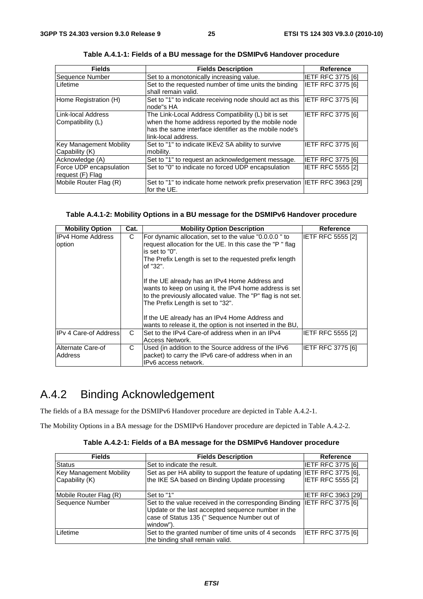| <b>Fields</b>                                    | <b>Fields Description</b>                                                                                                                                                                 | <b>Reference</b>         |
|--------------------------------------------------|-------------------------------------------------------------------------------------------------------------------------------------------------------------------------------------------|--------------------------|
| Sequence Number                                  | Set to a monotonically increasing value.                                                                                                                                                  | <b>IETF RFC 3775 [6]</b> |
| Lifetime                                         | Set to the requested number of time units the binding<br>shall remain valid.                                                                                                              | <b>IETF RFC 3775 [6]</b> |
| Home Registration (H)                            | Set to "1" to indicate receiving node should act as this<br>node"s HA                                                                                                                     | <b>IETF RFC 3775 [6]</b> |
| Link-local Address<br> Compatibility (L)         | The Link-Local Address Compatibility (L) bit is set<br>when the home address reported by the mobile node<br>has the same interface identifier as the mobile node's<br>link-local address. | <b>IETF RFC 3775 [6]</b> |
| <b>Key Management Mobility</b><br>Capability (K) | Set to "1" to indicate IKEv2 SA ability to survive<br>mobility.                                                                                                                           | IETF RFC 3775 [6]        |
| Acknowledge (A)                                  | Set to "1" to request an acknowledgement message.                                                                                                                                         | <b>IETF RFC 3775 [6]</b> |
| Force UDP encapsulation<br>request (F) Flag      | Set to "0" to indicate no forced UDP encapsulation                                                                                                                                        | <b>IETF RFC 5555 [2]</b> |
| Mobile Router Flag (R)                           | Set to "1" to indicate home network prefix preservation  IETF RFC 3963 [29]<br>for the UE.                                                                                                |                          |

**Table A.4.1-1: Fields of a BU message for the DSMIPv6 Handover procedure** 

#### **Table A.4.1-2: Mobility Options in a BU message for the DSMIPv6 Handover procedure**

| <b>Mobility Option</b>              | Cat. | <b>Mobility Option Description</b>                                                                                                                                                                            | <b>Reference</b>         |
|-------------------------------------|------|---------------------------------------------------------------------------------------------------------------------------------------------------------------------------------------------------------------|--------------------------|
| <b>IPv4 Home Address</b><br>option  | C    | For dynamic allocation, set to the value "0.0.0.0" to<br>request allocation for the UE. In this case the "P" flag<br>is set to "0".<br>The Prefix Length is set to the requested prefix length<br>of "32".    | <b>IETF RFC 5555 [2]</b> |
|                                     |      | If the UE already has an IPv4 Home Address and<br>wants to keep on using it, the IPv4 home address is set<br>to the previously allocated value. The "P" flag is not set.<br>The Prefix Length is set to "32". |                          |
|                                     |      | If the UE already has an IPv4 Home Address and<br>wants to release it, the option is not inserted in the BU,                                                                                                  |                          |
| <b>IPv 4 Care-of Address</b>        | C    | Set to the IPv4 Care-of address when in an IPv4<br>Access Network.                                                                                                                                            | <b>IETF RFC 5555 [2]</b> |
| Alternate Care-of<br><b>Address</b> | C.   | Used (in addition to the Source address of the IPv6<br>packet) to carry the IPv6 care-of address when in an<br>IPv6 access network.                                                                           | <b>IETF RFC 3775 [6]</b> |

# A.4.2 Binding Acknowledgement

The fields of a BA message for the DSMIPv6 Handover procedure are depicted in Table A.4.2-1.

The Mobility Options in a BA message for the DSMIPv6 Handover procedure are depicted in Table A.4.2-2.

|  | Table A.4.2-1: Fields of a BA message for the DSMIPv6 Handover procedure |
|--|--------------------------------------------------------------------------|
|--|--------------------------------------------------------------------------|

| <b>Fields</b>                  | <b>Fields Description</b>                                                                                                                                                 | <b>Reference</b>          |
|--------------------------------|---------------------------------------------------------------------------------------------------------------------------------------------------------------------------|---------------------------|
| Status                         | Set to indicate the result.                                                                                                                                               | <b>IETF RFC 3775 [6]</b>  |
| <b>Key Management Mobility</b> | Set as per HA ability to support the feature of updating IETF RFC 3775 [6],                                                                                               |                           |
| Capability (K)                 | the IKE SA based on Binding Update processing                                                                                                                             | IETF RFC 5555 [2]         |
| Mobile Router Flag (R)         | Set to "1"                                                                                                                                                                | <b>IETF RFC 3963 [29]</b> |
| Sequence Number                | Set to the value received in the corresponding Binding<br>Update or the last accepted sequence number in the<br>case of Status 135 (" Sequence Number out of<br>window"). | <b>IETF RFC 3775 [6]</b>  |
| Lifetime                       | Set to the granted number of time units of 4 seconds<br>the binding shall remain valid.                                                                                   | IETF RFC 3775 [6]         |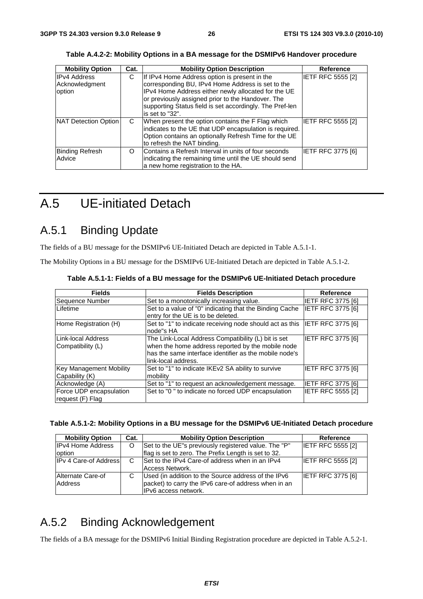| <b>Mobility Option</b>                          | Cat. | <b>Mobility Option Description</b>                                                                                                                                                                                                                                                            | <b>Reference</b>         |
|-------------------------------------------------|------|-----------------------------------------------------------------------------------------------------------------------------------------------------------------------------------------------------------------------------------------------------------------------------------------------|--------------------------|
| <b>IPv4 Address</b><br>Acknowledgment<br>option | C    | If IPv4 Home Address option is present in the<br>corresponding BU, IPv4 Home Address is set to the<br>IPv4 Home Address either newly allocated for the UE<br>or previously assigned prior to the Handover. The<br>supporting Status field is set accordingly. The Pref-len<br>is set to "32". | IETF RFC 5555 [2]        |
| <b>NAT Detection Option</b>                     | C    | When present the option contains the F Flag which<br>indicates to the UE that UDP encapsulation is required.<br>Option contains an optionally Refresh Time for the UE<br>to refresh the NAT binding.                                                                                          | <b>IETF RFC 5555 [2]</b> |
| <b>Binding Refresh</b><br>Advice                | O    | Contains a Refresh Interval in units of four seconds<br>indicating the remaining time until the UE should send<br>a new home registration to the HA.                                                                                                                                          | <b>IETF RFC 3775 [6]</b> |

**Table A.4.2-2: Mobility Options in a BA message for the DSMIPv6 Handover procedure** 

# A.5 UE-initiated Detach

# A.5.1 Binding Update

The fields of a BU message for the DSMIPv6 UE-Initiated Detach are depicted in Table A.5.1-1.

The Mobility Options in a BU message for the DSMIPv6 UE-Initiated Detach are depicted in Table A.5.1-2.

| <b>Fields</b>                                    | <b>Fields Description</b>                                                                                                                                                                 | Reference                |
|--------------------------------------------------|-------------------------------------------------------------------------------------------------------------------------------------------------------------------------------------------|--------------------------|
| Sequence Number                                  | Set to a monotonically increasing value.                                                                                                                                                  | <b>IETF RFC 3775 [6]</b> |
| Lifetime                                         | Set to a value of "0" indicating that the Binding Cache<br>entry for the UE is to be deleted.                                                                                             | <b>IETF RFC 3775 [6]</b> |
| Home Registration (H)                            | Set to "1" to indicate receiving node should act as this IETF RFC 3775 [6]<br>node"s HA                                                                                                   |                          |
| Link-local Address<br>Compatibility (L)          | The Link-Local Address Compatibility (L) bit is set<br>when the home address reported by the mobile node<br>has the same interface identifier as the mobile node's<br>link-local address. | <b>IETF RFC 3775 [6]</b> |
| <b>Key Management Mobility</b><br>Capability (K) | Set to "1" to indicate IKEv2 SA ability to survive<br>mobility                                                                                                                            | <b>IETF RFC 3775 [6]</b> |
| Acknowledge (A)                                  | Set to "1" to request an acknowledgement message.                                                                                                                                         | <b>IETF RFC 3775 [6]</b> |
| Force UDP encapsulation<br>request (F) Flag      | Set to "0" to indicate no forced UDP encapsulation                                                                                                                                        | <b>IETF RFC 5555 [2]</b> |

**Table A.5.1-1: Fields of a BU message for the DSMIPv6 UE-Initiated Detach procedure** 

| Table A.5.1-2: Mobility Options in a BU message for the DSMIPv6 UE-Initiated Detach procedure |  |  |  |  |  |
|-----------------------------------------------------------------------------------------------|--|--|--|--|--|
|-----------------------------------------------------------------------------------------------|--|--|--|--|--|

| <b>Mobility Option</b>       | Cat. | <b>Mobility Option Description</b>                   | Reference                |
|------------------------------|------|------------------------------------------------------|--------------------------|
| <b>IPv4 Home Address</b>     | O    | Set to the UE"s previously registered value. The "P" | <b>IETF RFC 5555 [2]</b> |
| option                       |      | flag is set to zero. The Prefix Length is set to 32. |                          |
| <b>IPv 4 Care-of Address</b> | C    | Set to the IPv4 Care-of address when in an IPv4      | <b>IETF RFC 5555 [2]</b> |
|                              |      | Access Network.                                      |                          |
| Alternate Care-of            |      | Used (in addition to the Source address of the IPv6  | <b>IETF RFC 3775 [6]</b> |
| Address                      |      | packet) to carry the IPv6 care-of address when in an |                          |
|                              |      | IPv6 access network.                                 |                          |

# A.5.2 Binding Acknowledgement

The fields of a BA message for the DSMIPv6 Initial Binding Registration procedure are depicted in Table A.5.2-1.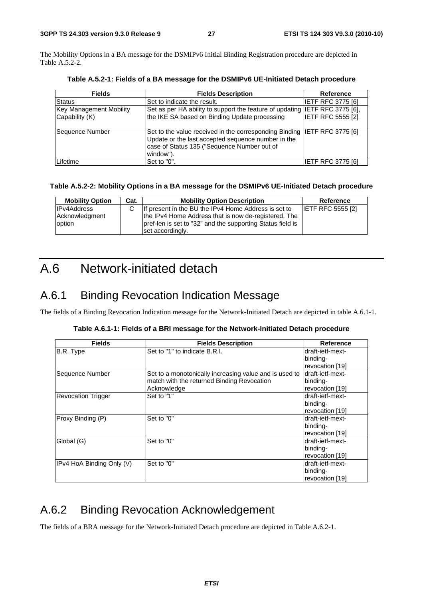The Mobility Options in a BA message for the DSMIPv6 Initial Binding Registration procedure are depicted in Table A.5.2-2.

| <b>Fields</b>                                    | <b>Fields Description</b>                                                                                                                                                                   | <b>Reference</b>         |
|--------------------------------------------------|---------------------------------------------------------------------------------------------------------------------------------------------------------------------------------------------|--------------------------|
| Status                                           | Set to indicate the result.                                                                                                                                                                 | <b>IETF RFC 3775 [6]</b> |
| <b>Key Management Mobility</b><br>Capability (K) | Set as per HA ability to support the feature of updating IETF RFC 3775 [6],<br>the IKE SA based on Binding Update processing                                                                | <b>IETF RFC 5555 [2]</b> |
| Sequence Number                                  | Set to the value received in the corresponding Binding  IETF RFC 3775 [6]<br>Update or the last accepted sequence number in the<br>case of Status 135 ("Sequence Number out of<br>window"). |                          |
| Lifetime                                         | Set to "0".                                                                                                                                                                                 | IETF RFC 3775 [6]        |

**Table A.5.2-1: Fields of a BA message for the DSMIPv6 UE-Initiated Detach procedure** 

#### **Table A.5.2-2: Mobility Options in a BA message for the DSMIPv6 UE-Initiated Detach procedure**

| <b>Mobility Option</b> | Cat. | <b>Mobility Option Description</b>                         | Reference                |
|------------------------|------|------------------------------------------------------------|--------------------------|
| <b>IPv4Address</b>     |      | If present in the BU the IPv4 Home Address is set to       | <b>IETF RFC 5555 [2]</b> |
| Acknowledgment         |      | the IPv4 Home Address that is now de-registered. The       |                          |
| option                 |      | pref-len is set to "32" and the supporting Status field is |                          |
|                        |      | set accordingly.                                           |                          |

# A.6 Network-initiated detach

# A.6.1 Binding Revocation Indication Message

The fields of a Binding Revocation Indication message for the Network-Initiated Detach are depicted in table A.6.1-1.

|  |  | Table A.6.1-1: Fields of a BRI message for the Network-Initiated Detach procedure |
|--|--|-----------------------------------------------------------------------------------|
|  |  |                                                                                   |

| <b>Fields</b>             | <b>Fields Description</b>                              | <b>Reference</b> |
|---------------------------|--------------------------------------------------------|------------------|
| B.R. Type                 | Set to "1" to indicate B.R.I.                          | draft-ietf-mext- |
|                           |                                                        | binding-         |
|                           |                                                        | revocation [19]  |
| Sequence Number           | Set to a monotonically increasing value and is used to | draft-ietf-mext- |
|                           | match with the returned Binding Revocation             | binding-         |
|                           | Acknowledge                                            | revocation [19]  |
| <b>Revocation Trigger</b> | Set to "1"                                             | draft-ietf-mext- |
|                           |                                                        | binding-         |
|                           |                                                        | revocation [19]  |
| Proxy Binding (P)         | Set to "0"                                             | draft-ietf-mext- |
|                           |                                                        | binding-         |
|                           |                                                        | revocation [19]  |
| Global (G)                | Set to "0"                                             | draft-ietf-mext- |
|                           |                                                        | binding-         |
|                           |                                                        | revocation [19]  |
| IPv4 HoA Binding Only (V) | Set to "0"                                             | draft-ietf-mext- |
|                           |                                                        | binding-         |
|                           |                                                        | revocation [19]  |

# A.6.2 Binding Revocation Acknowledgement

The fields of a BRA message for the Network-Initiated Detach procedure are depicted in Table A.6.2-1.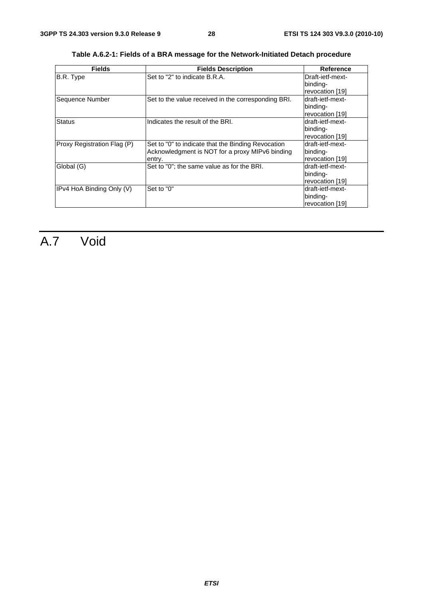| <b>Fields</b>               | <b>Fields Description</b>                                                                                       | <b>Reference</b>                                 |
|-----------------------------|-----------------------------------------------------------------------------------------------------------------|--------------------------------------------------|
| B.R. Type                   | Set to "2" to indicate B.R.A.                                                                                   | Draft-ietf-mext-<br>binding-                     |
|                             |                                                                                                                 | revocation [19]                                  |
| Sequence Number             | Set to the value received in the corresponding BRI.                                                             | draft-ietf-mext-<br>binding-<br>revocation [19]  |
| <b>Status</b>               | Indicates the result of the BRI.                                                                                | ldraft-ietf-mext-<br>binding-<br>revocation [19] |
| Proxy Registration Flag (P) | Set to "0" to indicate that the Binding Revocation<br>Acknowledgment is NOT for a proxy MIPv6 binding<br>entry. | draft-ietf-mext-<br>binding-<br>revocation [19]  |
| Global (G)                  | Set to "0"; the same value as for the BRI.                                                                      | draft-ietf-mext-<br>binding-<br>revocation [19]  |
| IPv4 HoA Binding Only (V)   | Set to "0"                                                                                                      | draft-ietf-mext-<br>binding-<br>revocation [19]  |

**Table A.6.2-1: Fields of a BRA message for the Network-Initiated Detach procedure** 

# A.7 Void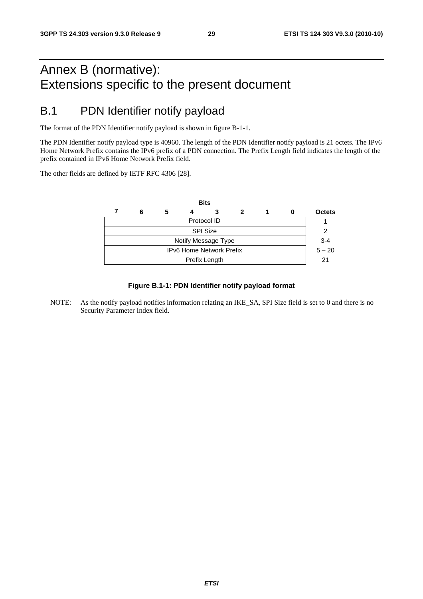# Annex B (normative): Extensions specific to the present document

# B.1 PDN Identifier notify payload

The format of the PDN Identifier notify payload is shown in figure B-1-1.

The PDN Identifier notify payload type is 40960. The length of the PDN Identifier notify payload is 21 octets. The IPv6 Home Network Prefix contains the IPv6 prefix of a PDN connection. The Prefix Length field indicates the length of the prefix contained in IPv6 Home Network Prefix field.

The other fields are defined by IETF RFC 4306 [28].



#### **Figure B.1-1: PDN Identifier notify payload format**

NOTE: As the notify payload notifies information relating an IKE\_SA, SPI Size field is set to 0 and there is no Security Parameter Index field.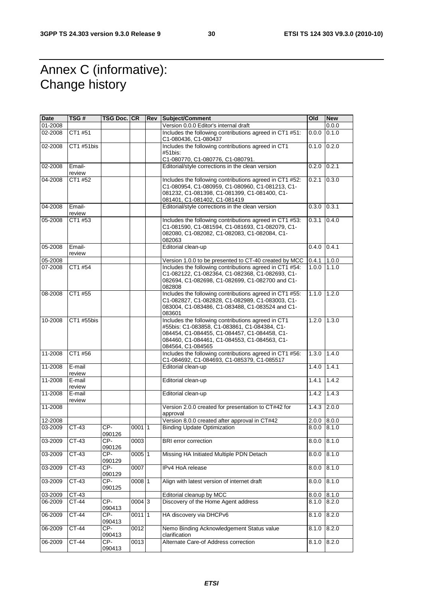# Annex C (informative): Change history

| Date    | TSG#             | TSG Doc. CR     |                     | <b>Rev Subject/Comment</b>                                                                                                                                                                                              | <b>Old</b> | <b>New</b> |
|---------|------------------|-----------------|---------------------|-------------------------------------------------------------------------------------------------------------------------------------------------------------------------------------------------------------------------|------------|------------|
| 01-2008 |                  |                 |                     | Version 0.0.0 Editor's internal draft                                                                                                                                                                                   |            | 0.0.0      |
| 02-2008 | CT1 #51          |                 |                     | Includes the following contributions agreed in CT1 #51:<br>0.0.0<br>C1-080436, C1-080437                                                                                                                                |            | 0.1.0      |
| 02-2008 | CT1 #51bis       |                 |                     | Includes the following contributions agreed in CT1<br>0.1.0<br>#51bis:                                                                                                                                                  |            | 0.2.0      |
|         |                  |                 |                     | C1-080770, C1-080776, C1-080791.                                                                                                                                                                                        |            |            |
| 02-2008 | Email-<br>review |                 |                     | Editorial/style corrections in the clean version                                                                                                                                                                        | 0.2.0      | 0.2.1      |
| 04-2008 | CT1 #52          |                 |                     | Includes the following contributions agreed in CT1 #52:<br>C1-080954, C1-080959, C1-080960, C1-081213, C1-<br>081232, C1-081398, C1-081399, C1-081400, C1-<br>081401, C1-081402, C1-081419                              | 0.2.1      | 0.3.0      |
| 04-2008 | Email-<br>review |                 |                     | Editorial/style corrections in the clean version                                                                                                                                                                        | 0.3.0      | 0.3.1      |
| 05-2008 | CT1 #53          |                 |                     | Includes the following contributions agreed in CT1 #53:<br>C1-081590, C1-081594, C1-081693, C1-082079, C1-<br>082080, C1-082082, C1-082083, C1-082084, C1-<br>082063                                                    | 0.3.1      | 0.4.0      |
| 05-2008 | Email-<br>review |                 |                     | Editorial clean-up                                                                                                                                                                                                      | 0.4.0      | 0.4.1      |
| 05-2008 |                  |                 |                     | Version 1.0.0 to be presented to CT-40 created by MCC                                                                                                                                                                   | 0.4.1      | 1.0.0      |
| 07-2008 | CT1 #54          |                 |                     | Includes the following contributions agreed in CT1 #54:<br>C1-082122, C1-082364, C1-082368, C1-082693, C1-<br>082694, C1-082698, C1-082699, C1-082700 and C1-<br>082808                                                 | 1.0.0      | 1.1.0      |
| 08-2008 | CT1 #55          |                 |                     | Includes the following contributions agreed in CT1 #55:<br>C1-082827, C1-082828, C1-082989, C1-083003, C1-<br>083004, C1-083486, C1-083488, C1-083524 and C1-<br>083601                                                 | 1.1.0      | 1.2.0      |
| 10-2008 | CT1 #55bis       |                 |                     | Includes the following contributions agreed in CT1<br>#55bis: C1-083858, C1-083861, C1-084384, C1-<br>084454, C1-084455, C1-084457, C1-084458, C1-<br>084460, C1-084461, C1-084553, C1-084563, C1-<br>084564, C1-084565 | 1.2.0      | 1.3.0      |
| 11-2008 | CT1 #56          |                 |                     | Includes the following contributions agreed in CT1 #56:<br>C1-084692, C1-084693, C1-085379, C1-085517                                                                                                                   | 1.3.0      | 1.4.0      |
| 11-2008 | E-mail<br>review |                 |                     | Editorial clean-up                                                                                                                                                                                                      | 1.4.0      | 1.4.1      |
| 11-2008 | E-mail<br>review |                 |                     | Editorial clean-up                                                                                                                                                                                                      | 1.4.1      | 1.4.2      |
| 11-2008 | E-mail<br>review |                 |                     | Editorial clean-up                                                                                                                                                                                                      | 1.4.2      | 1.4.3      |
| 11-2008 |                  |                 |                     | Version 2.0.0 created for presentation to CT#42 for<br>approval                                                                                                                                                         | 1.4.3      | 2.0.0      |
| 12-2008 |                  |                 |                     | Version 8.0.0 created after approval in CT#42                                                                                                                                                                           | 2.0.0      | 8.0.0      |
| 03-2009 | CT-43            | CP-<br>090126   | 00011               | <b>Binding Update Optimization</b>                                                                                                                                                                                      | 0.0.8      | 8.1.0      |
| 03-2009 | CT-43            | CP-<br>090126   | 0003                | <b>BRI</b> error correction                                                                                                                                                                                             | 8.0.0      | 8.1.0      |
| 03-2009 | $CT-43$          | $CP-$<br>090129 | $0005$ 1            | Missing HA Initiated Multiple PDN Detach                                                                                                                                                                                | 8.0.0      | 8.1.0      |
| 03-2009 | $CT-43$          | CP-<br>090129   | 0007                | IPv4 HoA release                                                                                                                                                                                                        | 8.0.0      | 8.1.0      |
| 03-2009 | $CT-43$          | CP-<br>090125   | 0008 1              | Align with latest version of internet draft                                                                                                                                                                             | 8.0.0      | 8.1.0      |
| 03-2009 | CT-43            |                 |                     | Editorial cleanup by MCC                                                                                                                                                                                                | 8.0.0      | 8.1.0      |
| 06-2009 | CT-44            | CP-<br>090413   | $0004 \overline{3}$ | Discovery of the Home Agent address                                                                                                                                                                                     | 8.1.0      | 8.2.0      |
| 06-2009 | $CT-44$          | $CP-$<br>090413 | 0011 1              | HA discovery via DHCPv6                                                                                                                                                                                                 | 8.1.0      | 8.2.0      |
| 06-2009 | $CT-44$          | $CP-$<br>090413 | 0012                | Nemo Binding Acknowledgement Status value<br>clarification                                                                                                                                                              | 8.1.0      | 8.2.0      |
| 06-2009 | CT-44            | $CP-$<br>090413 | 0013                | Alternate Care-of Address correction                                                                                                                                                                                    | 8.1.0      | 8.2.0      |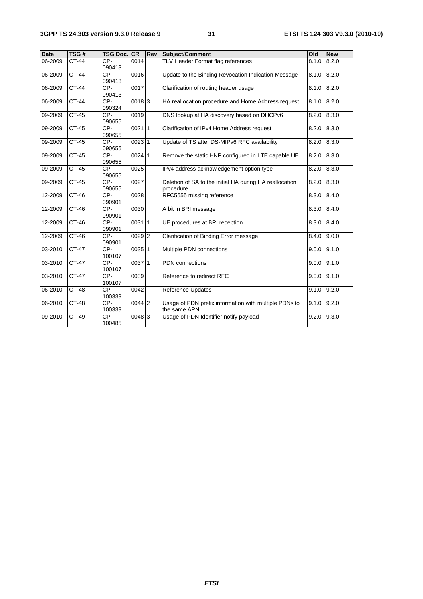| <b>Date</b> | TSG#         | <b>TSG Doc. CR</b> |                     | <b>Rev</b> | Subject/Comment                                                       | Old   | <b>New</b> |
|-------------|--------------|--------------------|---------------------|------------|-----------------------------------------------------------------------|-------|------------|
| 06-2009     | CT-44        | CP-<br>090413      | 0014                |            | TLV Header Format flag references                                     | 8.1.0 | 8.2.0      |
| 06-2009     | <b>CT-44</b> | CP-<br>090413      | 0016                |            | Update to the Binding Revocation Indication Message                   | 8.1.0 | 8.2.0      |
| 06-2009     | $CT-44$      | CP-<br>090413      | 0017                |            | Clarification of routing header usage                                 | 8.1.0 | 8.2.0      |
| 06-2009     | $CT-44$      | CP-<br>090324      | $0018$ 3            |            | HA reallocation procedure and Home Address request                    | 8.1.0 | 8.2.0      |
| 09-2009     | <b>CT-45</b> | $CP-$<br>090655    | 0019                |            | DNS lookup at HA discovery based on DHCPv6                            | 8.2.0 | 8.3.0      |
| 09-2009     | $CT-45$      | CP-<br>090655      | $0021$ 1            |            | Clarification of IPv4 Home Address request                            | 8.2.0 | 8.3.0      |
| 09-2009     | $CT-45$      | CP-<br>090655      | $0023$ 1            |            | Update of TS after DS-MIPv6 RFC availability                          | 8.2.0 | 8.3.0      |
| 09-2009     | $CT-45$      | $CP-$<br>090655    | $0024$ 1            |            | Remove the static HNP configured in LTE capable UE                    | 8.2.0 | 8.3.0      |
| 09-2009     | $CT-45$      | CP-<br>090655      | 0025                |            | IPv4 address acknowledgement option type                              | 8.2.0 | 8.3.0      |
| 09-2009     | $CT-45$      | CP-<br>090655      | 0027                |            | Deletion of SA to the initial HA during HA reallocation<br>procedure  | 8.2.0 | 8.3.0      |
| 12-2009     | $CT-46$      | CP-<br>090901      | 0028                |            | RFC5555 missing reference                                             | 8.3.0 | 8.4.0      |
| 12-2009     | $CT-46$      | $CP-$<br>090901    | 0030                |            | A bit in BRI message                                                  | 8.3.0 | 8.4.0      |
| 12-2009     | $CT-46$      | $CP-$<br>090901    | $0031$ 1            |            | UE procedures at BRI reception                                        | 8.3.0 | 8.4.0      |
| 12-2009     | CT-46        | $CP-$<br>090901    | 0029 2              |            | Clarification of Binding Error message                                | 8.4.0 | 9.0.0      |
| 03-2010     | $CT-47$      | $CP-$<br>100107    | $0035$ 1            |            | Multiple PDN connections                                              | 9.0.0 | 9.1.0      |
| 03-2010     | $CT-47$      | CP-<br>100107      | 003711              |            | <b>PDN</b> connections                                                | 9.0.0 | 9.1.0      |
| 03-2010     | CT-47        | CP-<br>100107      | 0039                |            | Reference to redirect RFC                                             | 9.0.0 | 9.1.0      |
| 06-2010     | $CT-48$      | CP-<br>100339      | 0042                |            | Reference Updates                                                     | 9.1.0 | 9.2.0      |
| 06-2010     | $CT-48$      | CP-<br>100339      | 0044 2              |            | Usage of PDN prefix information with multiple PDNs to<br>the same APN | 9.1.0 | 9.2.0      |
| 09-2010     | $CT-49$      | $CP-$<br>100485    | $0048$ <sub>3</sub> |            | Usage of PDN Identifier notify payload                                | 9.2.0 | 9.3.0      |